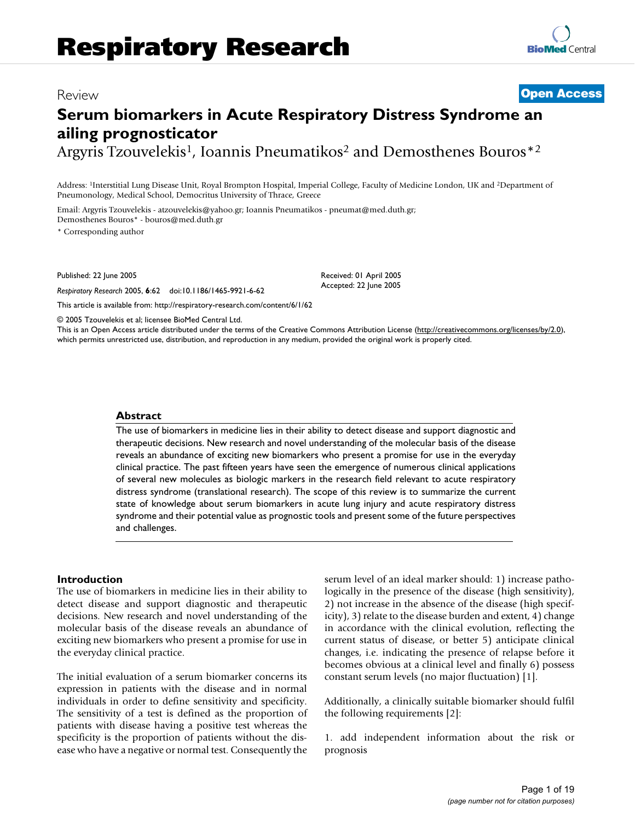# Review **[Open Access](http://www.biomedcentral.com/info/about/charter/)**

# **Serum biomarkers in Acute Respiratory Distress Syndrome an ailing prognosticator**

Argyris Tzouvelekis<sup>1</sup>, Ioannis Pneumatikos<sup>2</sup> and Demosthenes Bouros<sup>\*2</sup>

Address: 1Interstitial Lung Disease Unit, Royal Brompton Hospital, Imperial College, Faculty of Medicine London, UK and 2Department of Pneumonology, Medical School, Democritus University of Thrace, Greece

Email: Argyris Tzouvelekis - atzouvelekis@yahoo.gr; Ioannis Pneumatikos - pneumat@med.duth.gr; Demosthenes Bouros\* - bouros@med.duth.gr

\* Corresponding author

Published: 22 June 2005

*Respiratory Research* 2005, **6**:62 doi:10.1186/1465-9921-6-62

[This article is available from: http://respiratory-research.com/content/6/1/62](http://respiratory-research.com/content/6/1/62)

Received: 01 April 2005 Accepted: 22 June 2005

© 2005 Tzouvelekis et al; licensee BioMed Central Ltd.

This is an Open Access article distributed under the terms of the Creative Commons Attribution License [\(http://creativecommons.org/licenses/by/2.0\)](http://creativecommons.org/licenses/by/2.0), which permits unrestricted use, distribution, and reproduction in any medium, provided the original work is properly cited.

#### **Abstract**

The use of biomarkers in medicine lies in their ability to detect disease and support diagnostic and therapeutic decisions. New research and novel understanding of the molecular basis of the disease reveals an abundance of exciting new biomarkers who present a promise for use in the everyday clinical practice. The past fifteen years have seen the emergence of numerous clinical applications of several new molecules as biologic markers in the research field relevant to acute respiratory distress syndrome (translational research). The scope of this review is to summarize the current state of knowledge about serum biomarkers in acute lung injury and acute respiratory distress syndrome and their potential value as prognostic tools and present some of the future perspectives and challenges.

#### **Introduction**

The use of biomarkers in medicine lies in their ability to detect disease and support diagnostic and therapeutic decisions. New research and novel understanding of the molecular basis of the disease reveals an abundance of exciting new biomarkers who present a promise for use in the everyday clinical practice.

The initial evaluation of a serum biomarker concerns its expression in patients with the disease and in normal individuals in order to define sensitivity and specificity. The sensitivity of a test is defined as the proportion of patients with disease having a positive test whereas the specificity is the proportion of patients without the disease who have a negative or normal test. Consequently the serum level of an ideal marker should: 1) increase pathologically in the presence of the disease (high sensitivity), 2) not increase in the absence of the disease (high specificity), 3) relate to the disease burden and extent, 4) change in accordance with the clinical evolution, reflecting the current status of disease, or better 5) anticipate clinical changes, i.e. indicating the presence of relapse before it becomes obvious at a clinical level and finally 6) possess constant serum levels (no major fluctuation) [1].

Additionally, a clinically suitable biomarker should fulfil the following requirements [2]:

1. add independent information about the risk or prognosis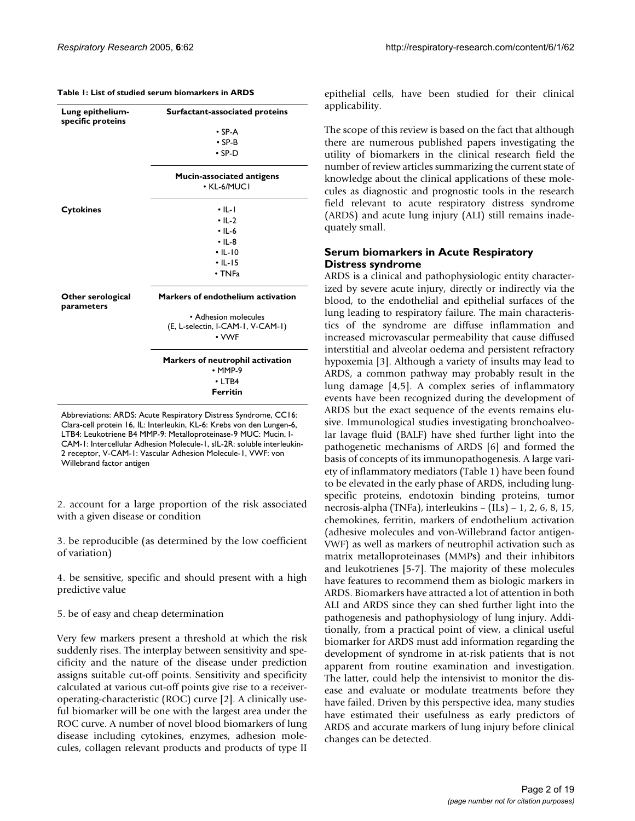**Table 1: List of studied serum biomarkers in ARDS**

| Lung epithelium-<br>specific proteins | Surfactant-associated proteins    |
|---------------------------------------|-----------------------------------|
|                                       | $\cdot$ SP-A                      |
|                                       | $\cdot$ SP-B                      |
|                                       | $\cdot$ SP-D                      |
|                                       | <b>Mucin-associated antigens</b>  |
|                                       | • KL-6/MUCI                       |
| <b>Cytokines</b>                      | $\cdot$ IL-I                      |
|                                       | $\cdot$ IL-2                      |
|                                       | $\cdot$ IL-6                      |
|                                       | $\cdot$ IL-8                      |
|                                       | $\cdot$ IL-IO                     |
|                                       | $\cdot$ IL-15                     |
|                                       | $\cdot$ TNFa                      |
| Other serological<br>parameters       | Markers of endothelium activation |
|                                       | • Adhesion molecules              |
|                                       | (E, L-selectin, I-CAM-1, V-CAM-1) |
|                                       | • VWF                             |
|                                       | Markers of neutrophil activation  |
|                                       | $\cdot$ MMP-9                     |
|                                       | $\cdot$ LTB4                      |
|                                       | Ferritin                          |

Abbreviations: ARDS: Acute Respiratory Distress Syndrome, CC16: Clara-cell protein 16, IL: Interleukin, KL-6: Krebs von den Lungen-6, LTB4: Leukotriene B4 MMP-9: Metalloproteinase-9 MUC: Mucin, I-CAM-1: Intercellular Adhesion Molecule-1, sIL-2R: soluble interleukin-2 receptor, V-CAM-1: Vascular Adhesion Molecule-1, VWF: von Willebrand factor antigen

2. account for a large proportion of the risk associated with a given disease or condition

3. be reproducible (as determined by the low coefficient of variation)

4. be sensitive, specific and should present with a high predictive value

#### 5. be of easy and cheap determination

Very few markers present a threshold at which the risk suddenly rises. The interplay between sensitivity and specificity and the nature of the disease under prediction assigns suitable cut-off points. Sensitivity and specificity calculated at various cut-off points give rise to a receiveroperating-characteristic (ROC) curve [2]. A clinically useful biomarker will be one with the largest area under the ROC curve. A number of novel blood biomarkers of lung disease including cytokines, enzymes, adhesion molecules, collagen relevant products and products of type II epithelial cells, have been studied for their clinical applicability.

The scope of this review is based on the fact that although there are numerous published papers investigating the utility of biomarkers in the clinical research field the number of review articles summarizing the current state of knowledge about the clinical applications of these molecules as diagnostic and prognostic tools in the research field relevant to acute respiratory distress syndrome (ARDS) and acute lung injury (ALI) still remains inadequately small.

#### **Serum biomarkers in Acute Respiratory Distress syndrome**

ARDS is a clinical and pathophysiologic entity characterized by severe acute injury, directly or indirectly via the blood, to the endothelial and epithelial surfaces of the lung leading to respiratory failure. The main characteristics of the syndrome are diffuse inflammation and increased microvascular permeability that cause diffused interstitial and alveolar oedema and persistent refractory hypoxemia [3]. Although a variety of insults may lead to ARDS, a common pathway may probably result in the lung damage [4,5]. A complex series of inflammatory events have been recognized during the development of ARDS but the exact sequence of the events remains elusive. Immunological studies investigating bronchoalveolar lavage fluid (BALF) have shed further light into the pathogenetic mechanisms of ARDS [6] and formed the basis of concepts of its immunopathogenesis. A large variety of inflammatory mediators (Table 1) have been found to be elevated in the early phase of ARDS, including lungspecific proteins, endotoxin binding proteins, tumor necrosis-alpha (TNFa), interleukins – (ILs) – 1, 2, 6, 8, 15, chemokines, ferritin, markers of endothelium activation (adhesive molecules and von-Willebrand factor antigen-VWF) as well as markers of neutrophil activation such as matrix metalloproteinases (MMPs) and their inhibitors and leukotrienes [5-7]. The majority of these molecules have features to recommend them as biologic markers in ARDS. Biomarkers have attracted a lot of attention in both ALI and ARDS since they can shed further light into the pathogenesis and pathophysiology of lung injury. Additionally, from a practical point of view, a clinical useful biomarker for ARDS must add information regarding the development of syndrome in at-risk patients that is not apparent from routine examination and investigation. The latter, could help the intensivist to monitor the disease and evaluate or modulate treatments before they have failed. Driven by this perspective idea, many studies have estimated their usefulness as early predictors of ARDS and accurate markers of lung injury before clinical changes can be detected.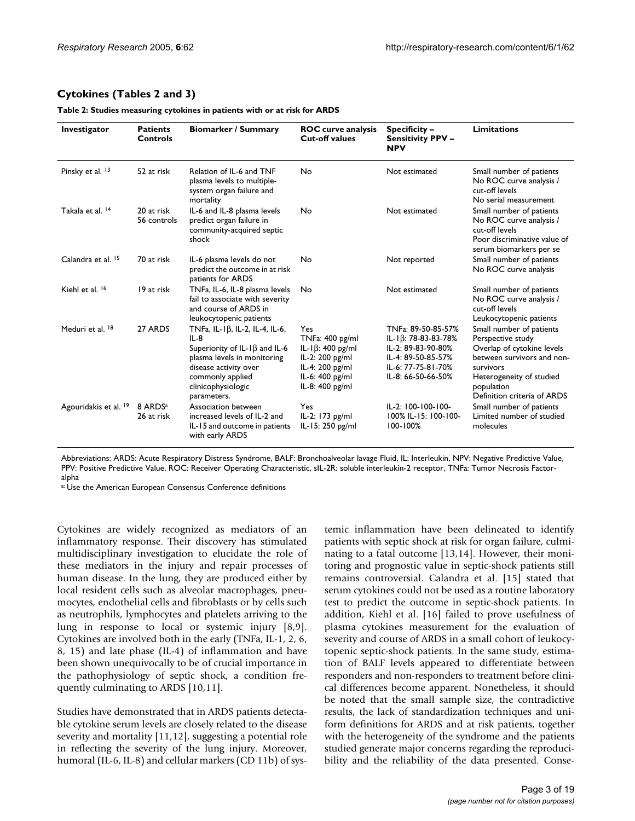# **Cytokines (Tables [2](#page-2-0) and [3\)](#page-3-0)**

| Investigator                     | <b>Patients</b><br>Controls       | <b>Biomarker / Summary</b>                                                                                                                                                                                 | <b>ROC</b> curve analysis<br><b>Cut-off values</b>                                                                             | <b>Specificity -</b><br><b>Sensitivity PPV -</b><br><b>NPV</b>                                                                            | <b>Limitations</b>                                                                                                                                                                              |
|----------------------------------|-----------------------------------|------------------------------------------------------------------------------------------------------------------------------------------------------------------------------------------------------------|--------------------------------------------------------------------------------------------------------------------------------|-------------------------------------------------------------------------------------------------------------------------------------------|-------------------------------------------------------------------------------------------------------------------------------------------------------------------------------------------------|
| Pinsky et al. 13                 | 52 at risk                        | Relation of IL-6 and TNF<br>plasma levels to multiple-<br>system organ failure and<br>mortality                                                                                                            | No                                                                                                                             | Not estimated                                                                                                                             | Small number of patients<br>No ROC curve analysis /<br>cut-off levels<br>No serial measurement                                                                                                  |
| Takala et al. <sup>14</sup>      | 20 at risk<br>56 controls         | IL-6 and IL-8 plasma levels<br>predict organ failure in<br>community-acquired septic<br>shock                                                                                                              | No                                                                                                                             | Not estimated                                                                                                                             | Small number of patients<br>No ROC curve analysis /<br>cut-off levels<br>Poor discriminative value of<br>serum biomarkers per se                                                                |
| Calandra et al. <sup>15</sup>    | 70 at risk                        | IL-6 plasma levels do not<br>predict the outcome in at risk<br>patients for ARDS                                                                                                                           | No                                                                                                                             | Not reported                                                                                                                              | Small number of patients<br>No ROC curve analysis                                                                                                                                               |
| Kiehl et al. <sup>16</sup>       | 19 at risk                        | TNFa, IL-6, IL-8 plasma levels<br>fail to associate with severity<br>and course of ARDS in<br>leukocytopenic patients                                                                                      | No                                                                                                                             | Not estimated                                                                                                                             | Small number of patients<br>No ROC curve analysis /<br>cut-off levels<br>Leukocytopenic patients                                                                                                |
| Meduri et al. 18                 | 27 ARDS                           | TNFa, IL-1 $\beta$ , IL-2, IL-4, IL-6,<br>$IL-8$<br>Superiority of $IL-I\beta$ and $IL-6$<br>plasma levels in monitoring<br>disease activity over<br>commonly applied<br>clinicophysiologic<br>parameters. | Yes<br>TNFa: 400 pg/ml<br>IL-1 $\beta$ : 400 pg/ml<br>IL-2: 200 pg/ml<br>IL-4: 200 pg/ml<br>IL-6: 400 pg/ml<br>IL-8: 400 pg/ml | TNFa: 89-50-85-57%<br>IL-1 $\beta$ : 78-83-83-78%<br>IL-2: 89-83-90-80%<br>IL-4: 89-50-85-57%<br>IL-6: 77-75-81-70%<br>IL-8: 66-50-66-50% | Small number of patients<br>Perspective study<br>Overlap of cytokine levels<br>between survivors and non-<br>survivors<br>Heterogeneity of studied<br>population<br>Definition criteria of ARDS |
| Agouridakis et al. <sup>19</sup> | 8 ARDS <sup>a</sup><br>26 at risk | Association between<br>increased levels of IL-2 and<br>IL-15 and outcome in patients<br>with early ARDS                                                                                                    | Yes<br>IL-2: 173 pg/ml<br>IL-15: 250 pg/ml                                                                                     | IL-2: 100-100-100-<br>100% IL-15: 100-100-<br>100-100%                                                                                    | Small number of patients<br>Limited number of studied<br>molecules                                                                                                                              |

<span id="page-2-0"></span>**Table 2: Studies measuring cytokines in patients with or at risk for ARDS**

Abbreviations: ARDS: Acute Respiratory Distress Syndrome, BALF: Bronchoalveolar lavage Fluid, IL: Interleukin, NPV: Negative Predictive Value, PPV: Positive Predictive Value, ROC: Receiver Operating Characteristic, sIL-2R: soluble interleukin-2 receptor, TNFa: Tumor Necrosis Factoralpha

a: Use the American European Consensus Conference definitions

Cytokines are widely recognized as mediators of an inflammatory response. Their discovery has stimulated multidisciplinary investigation to elucidate the role of these mediators in the injury and repair processes of human disease. In the lung, they are produced either by local resident cells such as alveolar macrophages, pneumocytes, endothelial cells and fibroblasts or by cells such as neutrophils, lymphocytes and platelets arriving to the lung in response to local or systemic injury [8,9]. Cytokines are involved both in the early (TNFa, IL-1, 2, 6, 8, 15) and late phase (IL-4) of inflammation and have been shown unequivocally to be of crucial importance in the pathophysiology of septic shock, a condition frequently culminating to ARDS [10,11].

Studies have demonstrated that in ARDS patients detectable cytokine serum levels are closely related to the disease severity and mortality [11,12], suggesting a potential role in reflecting the severity of the lung injury. Moreover, humoral (IL-6, IL-8) and cellular markers (CD 11b) of systemic inflammation have been delineated to identify patients with septic shock at risk for organ failure, culminating to a fatal outcome [13,14]. However, their monitoring and prognostic value in septic-shock patients still remains controversial. Calandra et al. [15] stated that serum cytokines could not be used as a routine laboratory test to predict the outcome in septic-shock patients. In addition, Kiehl et al. [16] failed to prove usefulness of plasma cytokines measurement for the evaluation of severity and course of ARDS in a small cohort of leukocytopenic septic-shock patients. In the same study, estimation of BALF levels appeared to differentiate between responders and non-responders to treatment before clinical differences become apparent. Nonetheless, it should be noted that the small sample size, the contradictive results, the lack of standardization techniques and uniform definitions for ARDS and at risk patients, together with the heterogeneity of the syndrome and the patients studied generate major concerns regarding the reproducibility and the reliability of the data presented. Conse-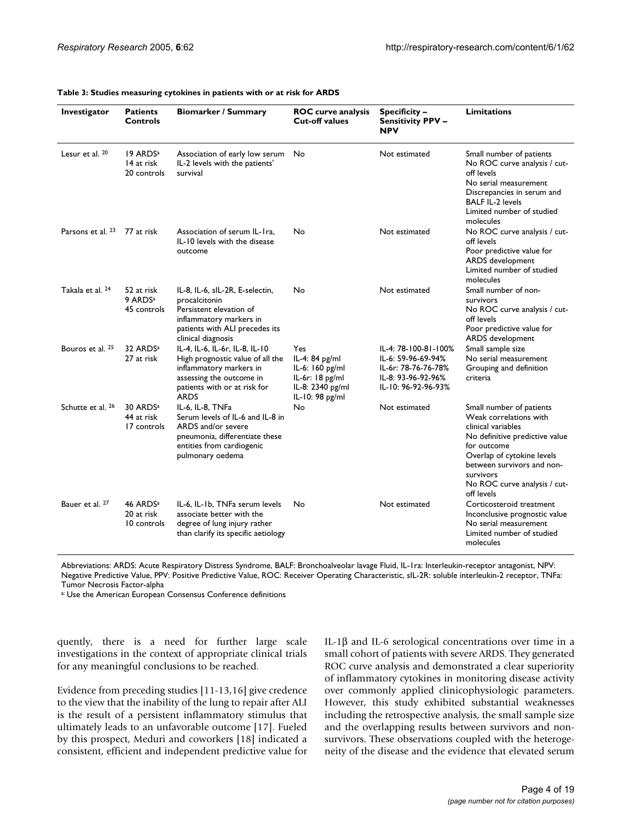| Investigator                | <b>Patients</b><br>Controls                       | <b>Biomarker / Summary</b>                                                                                                                                               | <b>ROC</b> curve analysis<br><b>Cut-off values</b>                                                 | Specificity –<br><b>Sensitivity PPV -</b><br><b>NPV</b>                                                        | <b>Limitations</b>                                                                                                                                                                                                                               |
|-----------------------------|---------------------------------------------------|--------------------------------------------------------------------------------------------------------------------------------------------------------------------------|----------------------------------------------------------------------------------------------------|----------------------------------------------------------------------------------------------------------------|--------------------------------------------------------------------------------------------------------------------------------------------------------------------------------------------------------------------------------------------------|
| Lesur et al. 20             | 19 ARDS <sup>a</sup><br>14 at risk<br>20 controls | Association of early low serum<br>IL-2 levels with the patients'<br>survival                                                                                             | No                                                                                                 | Not estimated                                                                                                  | Small number of patients<br>No ROC curve analysis / cut-<br>off levels<br>No serial measurement<br>Discrepancies in serum and<br><b>BALF IL-2 levels</b><br>Limited number of studied<br>molecules                                               |
| Parsons et al. 23           | 77 at risk                                        | Association of serum IL-Ira,<br>IL-10 levels with the disease<br>outcome                                                                                                 | No                                                                                                 | Not estimated                                                                                                  | No ROC curve analysis / cut-<br>off levels<br>Poor predictive value for<br><b>ARDS</b> development<br>Limited number of studied<br>molecules                                                                                                     |
| Takala et al. <sup>24</sup> | 52 at risk<br>9 ARDS <sup>a</sup><br>45 controls  | IL-8, IL-6, sIL-2R, E-selectin,<br>procalcitonin<br>Persistent elevation of<br>inflammatory markers in<br>patients with ALI precedes its<br>clinical diagnosis           | No                                                                                                 | Not estimated                                                                                                  | Small number of non-<br>survivors<br>No ROC curve analysis / cut-<br>off levels<br>Poor predictive value for<br><b>ARDS</b> development                                                                                                          |
| Bouros et al. <sup>25</sup> | 32 ARDS <sup>a</sup><br>27 at risk                | IL-4, IL-6, IL-6r, IL-8, IL-10<br>High prognostic value of all the<br>inflammatory markers in<br>assessing the outcome in<br>patients with or at risk for<br><b>ARDS</b> | Yes<br>IL-4: 84 pg/ml<br>IL-6: 160 pg/ml<br>IL-6r: 18 pg/ml<br>IL-8: 2340 pg/ml<br>IL-10: 98 pg/ml | IL-4: 78-100-81-100%<br>IL-6: 59-96-69-94%<br>IL-6r: 78-76-76-78%<br>IL-8: 93-96-92-96%<br>IL-10: 96-92-96-93% | Small sample size<br>No serial measurement<br>Grouping and definition<br>criteria                                                                                                                                                                |
| Schutte et al. 26           | 30 ARDS <sup>a</sup><br>44 at risk<br>17 controls | IL-6, IL-8, TNFa<br>Serum levels of IL-6 and IL-8 in<br>ARDS and/or severe<br>pneumonia, differentiate these<br>entities from cardiogenic<br>pulmonary oedema            | No                                                                                                 | Not estimated                                                                                                  | Small number of patients<br>Weak correlations with<br>clinical variables<br>No definitive predictive value<br>for outcome<br>Overlap of cytokine levels<br>between survivors and non-<br>survivors<br>No ROC curve analysis / cut-<br>off levels |
| Bauer et al. 27             | 46 ARDS <sup>a</sup><br>20 at risk<br>10 controls | IL-6, IL-1b, TNFa serum levels<br>associate better with the<br>degree of lung injury rather<br>than clarify its specific aetiology                                       | No                                                                                                 | Not estimated                                                                                                  | Corticosteroid treatment<br>Inconclusive prognostic value<br>No serial measurement<br>Limited number of studied<br>molecules                                                                                                                     |

#### <span id="page-3-0"></span>**Table 3: Studies measuring cytokines in patients with or at risk for ARDS**

Abbreviations: ARDS: Acute Respiratory Distress Syndrome, BALF: Bronchoalveolar lavage Fluid, IL-1ra: Interleukin-receptor antagonist, NPV: Negative Predictive Value, PPV: Positive Predictive Value, ROC: Receiver Operating Characteristic, sIL-2R: soluble interleukin-2 receptor, TNFa: Tumor Necrosis Factor-alpha

a: Use the American European Consensus Conference definitions

quently, there is a need for further large scale investigations in the context of appropriate clinical trials for any meaningful conclusions to be reached.

Evidence from preceding studies [11-13,16] give credence to the view that the inability of the lung to repair after ALI is the result of a persistent inflammatory stimulus that ultimately leads to an unfavorable outcome [17]. Fueled by this prospect, Meduri and coworkers [18] indicated a consistent, efficient and independent predictive value for IL-1β and IL-6 serological concentrations over time in a small cohort of patients with severe ARDS. They generated ROC curve analysis and demonstrated a clear superiority of inflammatory cytokines in monitoring disease activity over commonly applied clinicophysiologic parameters. However, this study exhibited substantial weaknesses including the retrospective analysis, the small sample size and the overlapping results between survivors and nonsurvivors. These observations coupled with the heterogeneity of the disease and the evidence that elevated serum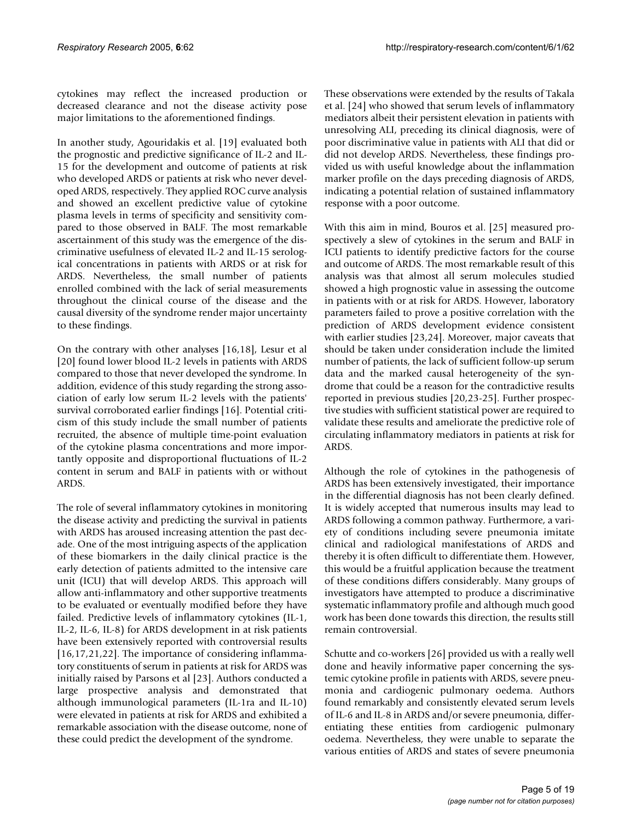cytokines may reflect the increased production or decreased clearance and not the disease activity pose major limitations to the aforementioned findings.

In another study, Agouridakis et al. [19] evaluated both the prognostic and predictive significance of IL-2 and IL-15 for the development and outcome of patients at risk who developed ARDS or patients at risk who never developed ARDS, respectively. They applied ROC curve analysis and showed an excellent predictive value of cytokine plasma levels in terms of specificity and sensitivity compared to those observed in BALF. The most remarkable ascertainment of this study was the emergence of the discriminative usefulness of elevated IL-2 and IL-15 serological concentrations in patients with ARDS or at risk for ARDS. Nevertheless, the small number of patients enrolled combined with the lack of serial measurements throughout the clinical course of the disease and the causal diversity of the syndrome render major uncertainty to these findings.

On the contrary with other analyses [16,18], Lesur et al [20] found lower blood IL-2 levels in patients with ARDS compared to those that never developed the syndrome. In addition, evidence of this study regarding the strong association of early low serum IL-2 levels with the patients' survival corroborated earlier findings [16]. Potential criticism of this study include the small number of patients recruited, the absence of multiple time-point evaluation of the cytokine plasma concentrations and more importantly opposite and disproportional fluctuations of IL-2 content in serum and BALF in patients with or without ARDS.

The role of several inflammatory cytokines in monitoring the disease activity and predicting the survival in patients with ARDS has aroused increasing attention the past decade. One of the most intriguing aspects of the application of these biomarkers in the daily clinical practice is the early detection of patients admitted to the intensive care unit (ICU) that will develop ARDS. This approach will allow anti-inflammatory and other supportive treatments to be evaluated or eventually modified before they have failed. Predictive levels of inflammatory cytokines (IL-1, IL-2, IL-6, IL-8) for ARDS development in at risk patients have been extensively reported with controversial results [16,17,21,22]. The importance of considering inflammatory constituents of serum in patients at risk for ARDS was initially raised by Parsons et al [23]. Authors conducted a large prospective analysis and demonstrated that although immunological parameters (IL-1ra and IL-10) were elevated in patients at risk for ARDS and exhibited a remarkable association with the disease outcome, none of these could predict the development of the syndrome.

These observations were extended by the results of Takala et al. [24] who showed that serum levels of inflammatory mediators albeit their persistent elevation in patients with unresolving ALI, preceding its clinical diagnosis, were of poor discriminative value in patients with ALI that did or did not develop ARDS. Nevertheless, these findings provided us with useful knowledge about the inflammation marker profile on the days preceding diagnosis of ARDS, indicating a potential relation of sustained inflammatory response with a poor outcome.

With this aim in mind, Bouros et al. [25] measured prospectively a slew of cytokines in the serum and BALF in ICU patients to identify predictive factors for the course and outcome of ARDS. The most remarkable result of this analysis was that almost all serum molecules studied showed a high prognostic value in assessing the outcome in patients with or at risk for ARDS. However, laboratory parameters failed to prove a positive correlation with the prediction of ARDS development evidence consistent with earlier studies [23,24]. Moreover, major caveats that should be taken under consideration include the limited number of patients, the lack of sufficient follow-up serum data and the marked causal heterogeneity of the syndrome that could be a reason for the contradictive results reported in previous studies [20,23-25]. Further prospective studies with sufficient statistical power are required to validate these results and ameliorate the predictive role of circulating inflammatory mediators in patients at risk for ARDS.

Although the role of cytokines in the pathogenesis of ARDS has been extensively investigated, their importance in the differential diagnosis has not been clearly defined. It is widely accepted that numerous insults may lead to ARDS following a common pathway. Furthermore, a variety of conditions including severe pneumonia imitate clinical and radiological manifestations of ARDS and thereby it is often difficult to differentiate them. However, this would be a fruitful application because the treatment of these conditions differs considerably. Many groups of investigators have attempted to produce a discriminative systematic inflammatory profile and although much good work has been done towards this direction, the results still remain controversial.

Schutte and co-workers [26] provided us with a really well done and heavily informative paper concerning the systemic cytokine profile in patients with ARDS, severe pneumonia and cardiogenic pulmonary oedema. Authors found remarkably and consistently elevated serum levels of IL-6 and IL-8 in ARDS and/or severe pneumonia, differentiating these entities from cardiogenic pulmonary oedema. Nevertheless, they were unable to separate the various entities of ARDS and states of severe pneumonia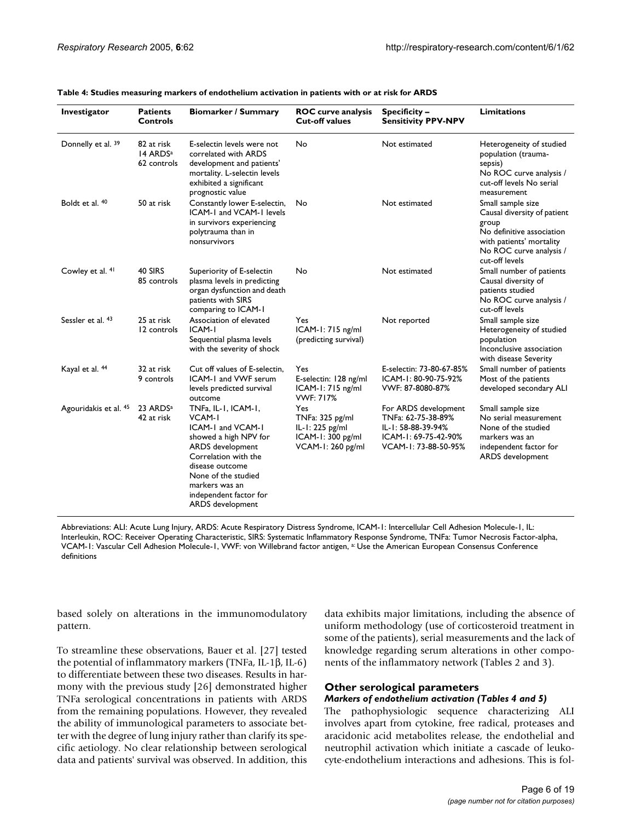| Investigator          | <b>Patients</b><br><b>Controls</b>    | <b>Biomarker / Summary</b>                                                                                                                                                                                                                             | <b>ROC</b> curve analysis<br><b>Cut-off values</b>                                  | Specificity -<br><b>Sensitivity PPV-NPV</b>                                                                      | <b>Limitations</b>                                                                                                                                              |
|-----------------------|---------------------------------------|--------------------------------------------------------------------------------------------------------------------------------------------------------------------------------------------------------------------------------------------------------|-------------------------------------------------------------------------------------|------------------------------------------------------------------------------------------------------------------|-----------------------------------------------------------------------------------------------------------------------------------------------------------------|
| Donnelly et al. 39    | 82 at risk<br>14 ARDSa<br>62 controls | E-selectin levels were not<br>correlated with ARDS<br>development and patients'<br>mortality. L-selectin levels<br>exhibited a significant<br>prognostic value                                                                                         | No                                                                                  | Not estimated                                                                                                    | Heterogeneity of studied<br>population (trauma-<br>sepsis)<br>No ROC curve analysis /<br>cut-off levels No serial<br>measurement                                |
| Boldt et al. 40       | 50 at risk                            | Constantly lower E-selectin,<br>ICAM-1 and VCAM-1 levels<br>in survivors experiencing<br>polytrauma than in<br>nonsurvivors                                                                                                                            | No                                                                                  | Not estimated                                                                                                    | Small sample size<br>Causal diversity of patient<br>group<br>No definitive association<br>with patients' mortality<br>No ROC curve analysis /<br>cut-off levels |
| Cowley et al. 41      | 40 SIRS<br>85 controls                | Superiority of E-selectin<br>plasma levels in predicting<br>organ dysfunction and death<br>patients with SIRS<br>comparing to ICAM-1                                                                                                                   | No                                                                                  | Not estimated                                                                                                    | Small number of patients<br>Causal diversity of<br>patients studied<br>No ROC curve analysis /<br>cut-off levels                                                |
| Sessler et al. 43     | 25 at risk<br>12 controls             | Association of elevated<br><b>ICAM-I</b><br>Sequential plasma levels<br>with the severity of shock                                                                                                                                                     | Yes<br>ICAM-1: 715 ng/ml<br>(predicting survival)                                   | Not reported                                                                                                     | Small sample size<br>Heterogeneity of studied<br>population<br>Inconclusive association<br>with disease Severity                                                |
| Kayal et al. 44       | 32 at risk<br>9 controls              | Cut off values of E-selectin.<br>ICAM-1 and VWF serum<br>levels predicted survival<br>outcome                                                                                                                                                          | Yes<br>E-selectin: 128 ng/ml<br>$ICAM-I: 715$ ng/ml<br><b>VWF: 717%</b>             | E-selectin: 73-80-67-85%<br>ICAM-1: 80-90-75-92%<br>VWF: 87-8080-87%                                             | Small number of patients<br>Most of the patients<br>developed secondary ALI                                                                                     |
| Agouridakis et al. 45 | 23 ARDSa<br>42 at risk                | TNFa, IL-1, ICAM-1,<br><b>VCAM-I</b><br><b>ICAM-1 and VCAM-1</b><br>showed a high NPV for<br>ARDS development<br>Correlation with the<br>disease outcome<br>None of the studied<br>markers was an<br>independent factor for<br><b>ARDS</b> development | Yes<br>TNFa: 325 pg/ml<br>IL-1: 225 pg/ml<br>ICAM-1: 300 pg/ml<br>VCAM-1: 260 pg/ml | For ARDS development<br>TNFa: 62-75-38-89%<br>IL-1: 58-88-39-94%<br>ICAM-1: 69-75-42-90%<br>VCAM-1: 73-88-50-95% | Small sample size<br>No serial measurement<br>None of the studied<br>markers was an<br>independent factor for<br><b>ARDS</b> development                        |

#### **Table 4: Studies measuring markers of endothelium activation in patients with or at risk for ARDS**

Abbreviations: ALI: Acute Lung Injury, ARDS: Acute Respiratory Distress Syndrome, ICAM-1: Intercellular Cell Adhesion Molecule-1, IL: Interleukin, ROC: Receiver Operating Characteristic, SIRS: Systematic Inflammatory Response Syndrome, TNFa: Tumor Necrosis Factor-alpha, VCAM-1: Vascular Cell Adhesion Molecule-1, VWF: von Willebrand factor antigen, a: Use the American European Consensus Conference definitions

based solely on alterations in the immunomodulatory pattern.

To streamline these observations, Bauer et al. [27] tested the potential of inflammatory markers (TNFa, IL-1β, IL-6) to differentiate between these two diseases. Results in harmony with the previous study [26] demonstrated higher TNFa serological concentrations in patients with ARDS from the remaining populations. However, they revealed the ability of immunological parameters to associate better with the degree of lung injury rather than clarify its specific aetiology. No clear relationship between serological data and patients' survival was observed. In addition, this

data exhibits major limitations, including the absence of uniform methodology (use of corticosteroid treatment in some of the patients), serial measurements and the lack of knowledge regarding serum alterations in other components of the inflammatory network (Tables [2](#page-2-0) and [3](#page-3-0)).

#### **Other serological parameters** *Markers of endothelium activation (Tables 4 and [5](#page-6-0))*

The pathophysiologic sequence characterizing ALI involves apart from cytokine, free radical, proteases and aracidonic acid metabolites release, the endothelial and neutrophil activation which initiate a cascade of leukocyte-endothelium interactions and adhesions. This is fol-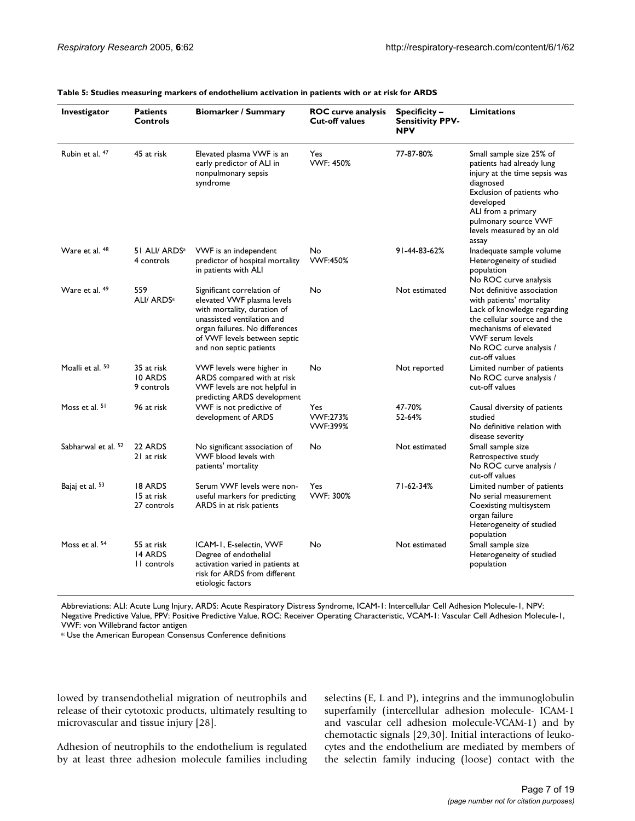| Investigator                   | <b>Patients</b><br>Controls             | <b>Biomarker / Summary</b>                                                                                                                                                                                         | <b>ROC</b> curve analysis<br><b>Cut-off values</b> | Specificity -<br><b>Sensitivity PPV-</b><br><b>NPV</b> | <b>Limitations</b>                                                                                                                                                                                                                |
|--------------------------------|-----------------------------------------|--------------------------------------------------------------------------------------------------------------------------------------------------------------------------------------------------------------------|----------------------------------------------------|--------------------------------------------------------|-----------------------------------------------------------------------------------------------------------------------------------------------------------------------------------------------------------------------------------|
| Rubin et al. 47                | 45 at risk                              | Elevated plasma VWF is an<br>early predictor of ALI in<br>nonpulmonary sepsis<br>syndrome                                                                                                                          | Yes<br><b>VWF: 450%</b>                            | 77-87-80%                                              | Small sample size 25% of<br>patients had already lung<br>injury at the time sepsis was<br>diagnosed<br>Exclusion of patients who<br>developed<br>ALI from a primary<br>pulmonary source VWF<br>levels measured by an old<br>assay |
| Ware et al. 48                 | 51 ALI/ ARDS <sup>a</sup><br>4 controls | VWF is an independent<br>predictor of hospital mortality<br>in patients with ALI                                                                                                                                   | No<br><b>VWF:450%</b>                              | 91-44-83-62%                                           | Inadequate sample volume<br>Heterogeneity of studied<br>population<br>No ROC curve analysis                                                                                                                                       |
| Ware et al. 49                 | 559<br>ALI/ ARDS <sup>a</sup>           | Significant correlation of<br>elevated VWF plasma levels<br>with mortality, duration of<br>unassisted ventilation and<br>organ failures. No differences<br>of VWF levels between septic<br>and non septic patients | No                                                 | Not estimated                                          | Not definitive association<br>with patients' mortality<br>Lack of knowledge regarding<br>the cellular source and the<br>mechanisms of elevated<br><b>VWF</b> serum levels<br>No ROC curve analysis /<br>cut-off values            |
| Moalli et al. 50               | 35 at risk<br>10 ARDS<br>9 controls     | VWF levels were higher in<br>ARDS compared with at risk<br>VWF levels are not helpful in<br>predicting ARDS development                                                                                            | No                                                 | Not reported                                           | Limited number of patients<br>No ROC curve analysis /<br>cut-off values                                                                                                                                                           |
| Moss et al. <sup>51</sup>      | 96 at risk                              | VWF is not predictive of<br>development of ARDS                                                                                                                                                                    | Yes<br><b>VWF:273%</b><br><b>VWF:399%</b>          | 47-70%<br>52-64%                                       | Causal diversity of patients<br>studied<br>No definitive relation with<br>disease severity                                                                                                                                        |
| Sabharwal et al. <sup>52</sup> | 22 ARDS<br>21 at risk                   | No significant association of<br>VWF blood levels with<br>patients' mortality                                                                                                                                      | No                                                 | Not estimated                                          | Small sample size<br>Retrospective study<br>No ROC curve analysis /<br>cut-off values                                                                                                                                             |
| Bajaj et al. 53                | 18 ARDS<br>15 at risk<br>27 controls    | Serum VWF levels were non-<br>useful markers for predicting<br>ARDS in at risk patients                                                                                                                            | Yes<br><b>VWF: 300%</b>                            | 71-62-34%                                              | Limited number of patients<br>No serial measurement<br>Coexisting multisystem<br>organ failure<br>Heterogeneity of studied<br>population                                                                                          |
| Moss et al. 54                 | 55 at risk<br>14 ARDS<br>II controls    | ICAM-1, E-selectin, VWF<br>Degree of endothelial<br>activation varied in patients at<br>risk for ARDS from different<br>etiologic factors                                                                          | No                                                 | Not estimated                                          | Small sample size<br>Heterogeneity of studied<br>population                                                                                                                                                                       |

#### <span id="page-6-0"></span>**Table 5: Studies measuring markers of endothelium activation in patients with or at risk for ARDS**

Abbreviations: ALI: Acute Lung Injury, ARDS: Acute Respiratory Distress Syndrome, ICAM-1: Intercellular Cell Adhesion Molecule-1, NPV: Negative Predictive Value, PPV: Positive Predictive Value, ROC: Receiver Operating Characteristic, VCAM-1: Vascular Cell Adhesion Molecule-1, VWF: von Willebrand factor antigen

a: Use the American European Consensus Conference definitions

lowed by transendothelial migration of neutrophils and release of their cytotoxic products, ultimately resulting to microvascular and tissue injury [28].

Adhesion of neutrophils to the endothelium is regulated by at least three adhesion molecule families including selectins (E, L and P), integrins and the immunoglobulin superfamily (intercellular adhesion molecule- ICAM-1 and vascular cell adhesion molecule-VCAM-1) and by chemotactic signals [29,30]. Initial interactions of leukocytes and the endothelium are mediated by members of the selectin family inducing (loose) contact with the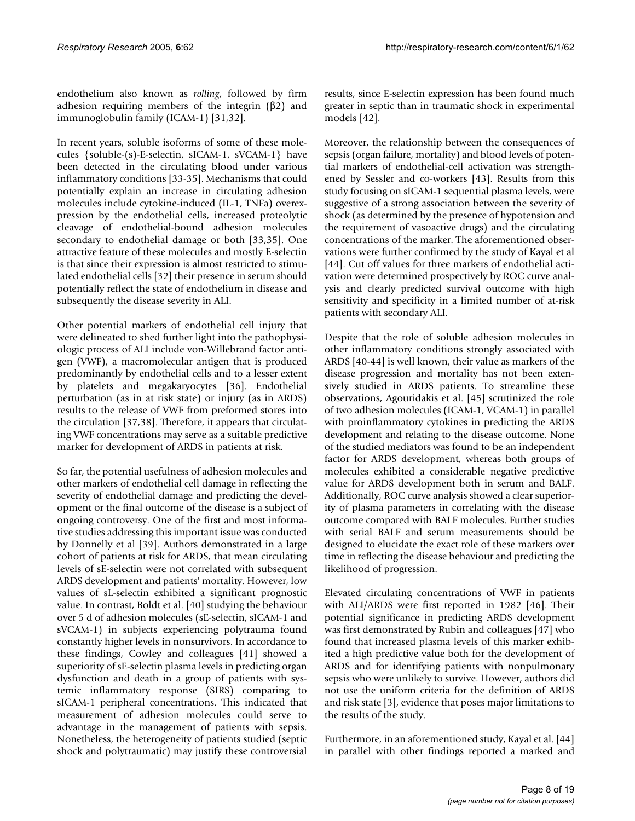endothelium also known as *rolling*, followed by firm adhesion requiring members of the integrin (β2) and immunoglobulin family (ICAM-1) [31,32].

In recent years, soluble isoforms of some of these molecules {soluble-(s)-E-selectin, sICAM-1, sVCAM-1} have been detected in the circulating blood under various inflammatory conditions [33-35]. Mechanisms that could potentially explain an increase in circulating adhesion molecules include cytokine-induced (IL-1, TNFa) overexpression by the endothelial cells, increased proteolytic cleavage of endothelial-bound adhesion molecules secondary to endothelial damage or both [33,35]. One attractive feature of these molecules and mostly E-selectin is that since their expression is almost restricted to stimulated endothelial cells [32] their presence in serum should potentially reflect the state of endothelium in disease and subsequently the disease severity in ALI.

Other potential markers of endothelial cell injury that were delineated to shed further light into the pathophysiologic process of ALI include von-Willebrand factor antigen (VWF), a macromolecular antigen that is produced predominantly by endothelial cells and to a lesser extent by platelets and megakaryocytes [36]. Endothelial perturbation (as in at risk state) or injury (as in ARDS) results to the release of VWF from preformed stores into the circulation [37,38]. Therefore, it appears that circulating VWF concentrations may serve as a suitable predictive marker for development of ARDS in patients at risk.

So far, the potential usefulness of adhesion molecules and other markers of endothelial cell damage in reflecting the severity of endothelial damage and predicting the development or the final outcome of the disease is a subject of ongoing controversy. One of the first and most informative studies addressing this important issue was conducted by Donnelly et al [39]. Authors demonstrated in a large cohort of patients at risk for ARDS, that mean circulating levels of sE-selectin were not correlated with subsequent ARDS development and patients' mortality. However, low values of sL-selectin exhibited a significant prognostic value. In contrast, Boldt et al. [40] studying the behaviour over 5 d of adhesion molecules (sE-selectin, sICAM-1 and sVCAM-1) in subjects experiencing polytrauma found constantly higher levels in nonsurvivors. In accordance to these findings, Cowley and colleagues [41] showed a superiority of sE-selectin plasma levels in predicting organ dysfunction and death in a group of patients with systemic inflammatory response (SIRS) comparing to sICAM-1 peripheral concentrations. This indicated that measurement of adhesion molecules could serve to advantage in the management of patients with sepsis. Nonetheless, the heterogeneity of patients studied (septic shock and polytraumatic) may justify these controversial

results, since E-selectin expression has been found much greater in septic than in traumatic shock in experimental models [42].

Moreover, the relationship between the consequences of sepsis (organ failure, mortality) and blood levels of potential markers of endothelial-cell activation was strengthened by Sessler and co-workers [43]. Results from this study focusing on sICAM-1 sequential plasma levels, were suggestive of a strong association between the severity of shock (as determined by the presence of hypotension and the requirement of vasoactive drugs) and the circulating concentrations of the marker. The aforementioned observations were further confirmed by the study of Kayal et al [44]. Cut off values for three markers of endothelial activation were determined prospectively by ROC curve analysis and clearly predicted survival outcome with high sensitivity and specificity in a limited number of at-risk patients with secondary ALI.

Despite that the role of soluble adhesion molecules in other inflammatory conditions strongly associated with ARDS [40-44] is well known, their value as markers of the disease progression and mortality has not been extensively studied in ARDS patients. To streamline these observations, Agouridakis et al. [45] scrutinized the role of two adhesion molecules (ICAM-1, VCAM-1) in parallel with proinflammatory cytokines in predicting the ARDS development and relating to the disease outcome. None of the studied mediators was found to be an independent factor for ARDS development, whereas both groups of molecules exhibited a considerable negative predictive value for ARDS development both in serum and BALF. Additionally, ROC curve analysis showed a clear superiority of plasma parameters in correlating with the disease outcome compared with BALF molecules. Further studies with serial BALF and serum measurements should be designed to elucidate the exact role of these markers over time in reflecting the disease behaviour and predicting the likelihood of progression.

Elevated circulating concentrations of VWF in patients with ALI/ARDS were first reported in 1982 [46]. Their potential significance in predicting ARDS development was first demonstrated by Rubin and colleagues [47] who found that increased plasma levels of this marker exhibited a high predictive value both for the development of ARDS and for identifying patients with nonpulmonary sepsis who were unlikely to survive. However, authors did not use the uniform criteria for the definition of ARDS and risk state [3], evidence that poses major limitations to the results of the study.

Furthermore, in an aforementioned study, Kayal et al. [44] in parallel with other findings reported a marked and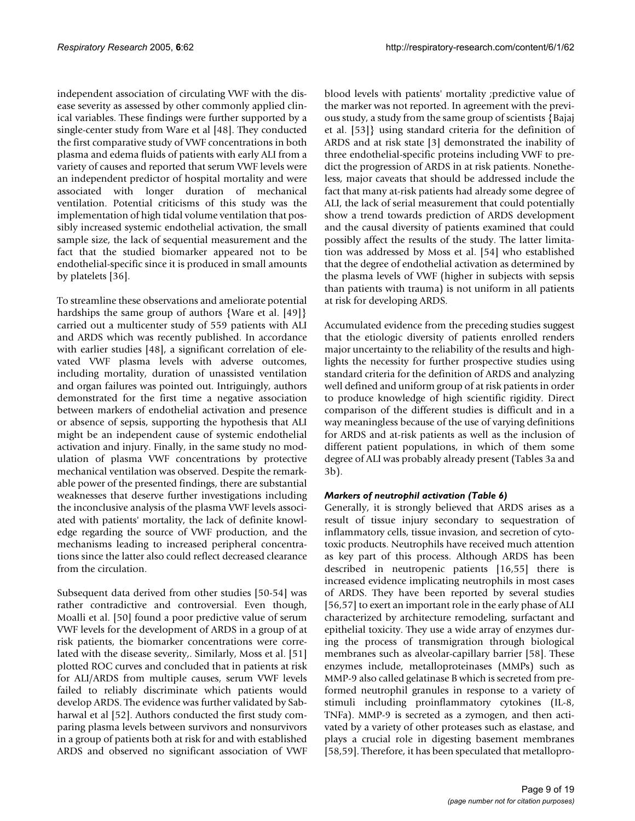independent association of circulating VWF with the disease severity as assessed by other commonly applied clinical variables. These findings were further supported by a single-center study from Ware et al [48]. They conducted the first comparative study of VWF concentrations in both plasma and edema fluids of patients with early ALI from a variety of causes and reported that serum VWF levels were an independent predictor of hospital mortality and were associated with longer duration of mechanical ventilation. Potential criticisms of this study was the implementation of high tidal volume ventilation that possibly increased systemic endothelial activation, the small sample size, the lack of sequential measurement and the fact that the studied biomarker appeared not to be endothelial-specific since it is produced in small amounts by platelets [36].

To streamline these observations and ameliorate potential hardships the same group of authors {Ware et al. [49]} carried out a multicenter study of 559 patients with ALI and ARDS which was recently published. In accordance with earlier studies [48], a significant correlation of elevated VWF plasma levels with adverse outcomes, including mortality, duration of unassisted ventilation and organ failures was pointed out. Intriguingly, authors demonstrated for the first time a negative association between markers of endothelial activation and presence or absence of sepsis, supporting the hypothesis that ALI might be an independent cause of systemic endothelial activation and injury. Finally, in the same study no modulation of plasma VWF concentrations by protective mechanical ventilation was observed. Despite the remarkable power of the presented findings, there are substantial weaknesses that deserve further investigations including the inconclusive analysis of the plasma VWF levels associated with patients' mortality, the lack of definite knowledge regarding the source of VWF production, and the mechanisms leading to increased peripheral concentrations since the latter also could reflect decreased clearance from the circulation.

Subsequent data derived from other studies [50-54] was rather contradictive and controversial. Even though, Moalli et al. [50] found a poor predictive value of serum VWF levels for the development of ARDS in a group of at risk patients, the biomarker concentrations were correlated with the disease severity,. Similarly, Moss et al. [51] plotted ROC curves and concluded that in patients at risk for ALI/ARDS from multiple causes, serum VWF levels failed to reliably discriminate which patients would develop ARDS. The evidence was further validated by Sabharwal et al [52]. Authors conducted the first study comparing plasma levels between survivors and nonsurvivors in a group of patients both at risk for and with established ARDS and observed no significant association of VWF blood levels with patients' mortality ;predictive value of the marker was not reported. In agreement with the previous study, a study from the same group of scientists {Bajaj et al. [53]} using standard criteria for the definition of ARDS and at risk state [3] demonstrated the inability of three endothelial-specific proteins including VWF to predict the progression of ARDS in at risk patients. Nonetheless, major caveats that should be addressed include the fact that many at-risk patients had already some degree of ALI, the lack of serial measurement that could potentially show a trend towards prediction of ARDS development and the causal diversity of patients examined that could possibly affect the results of the study. The latter limitation was addressed by Moss et al. [54] who established that the degree of endothelial activation as determined by the plasma levels of VWF (higher in subjects with sepsis than patients with trauma) is not uniform in all patients at risk for developing ARDS.

Accumulated evidence from the preceding studies suggest that the etiologic diversity of patients enrolled renders major uncertainty to the reliability of the results and highlights the necessity for further prospective studies using standard criteria for the definition of ARDS and analyzing well defined and uniform group of at risk patients in order to produce knowledge of high scientific rigidity. Direct comparison of the different studies is difficult and in a way meaningless because of the use of varying definitions for ARDS and at-risk patients as well as the inclusion of different patient populations, in which of them some degree of ALI was probably already present (Tables [3](#page-3-0)a and [3](#page-3-0)b).

### *Markers of neutrophil activation (Table [6](#page-9-0))*

Generally, it is strongly believed that ARDS arises as a result of tissue injury secondary to sequestration of inflammatory cells, tissue invasion, and secretion of cytotoxic products. Neutrophils have received much attention as key part of this process. Although ARDS has been described in neutropenic patients [16,55] there is increased evidence implicating neutrophils in most cases of ARDS. They have been reported by several studies [56,57] to exert an important role in the early phase of ALI characterized by architecture remodeling, surfactant and epithelial toxicity. They use a wide array of enzymes during the process of transmigration through biological membranes such as alveolar-capillary barrier [58]. These enzymes include, metalloproteinases (MMPs) such as MMP-9 also called gelatinase B which is secreted from preformed neutrophil granules in response to a variety of stimuli including proinflammatory cytokines (IL-8, TNFa). MMP-9 is secreted as a zymogen, and then activated by a variety of other proteases such as elastase, and plays a crucial role in digesting basement membranes [58,59]. Therefore, it has been speculated that metallopro-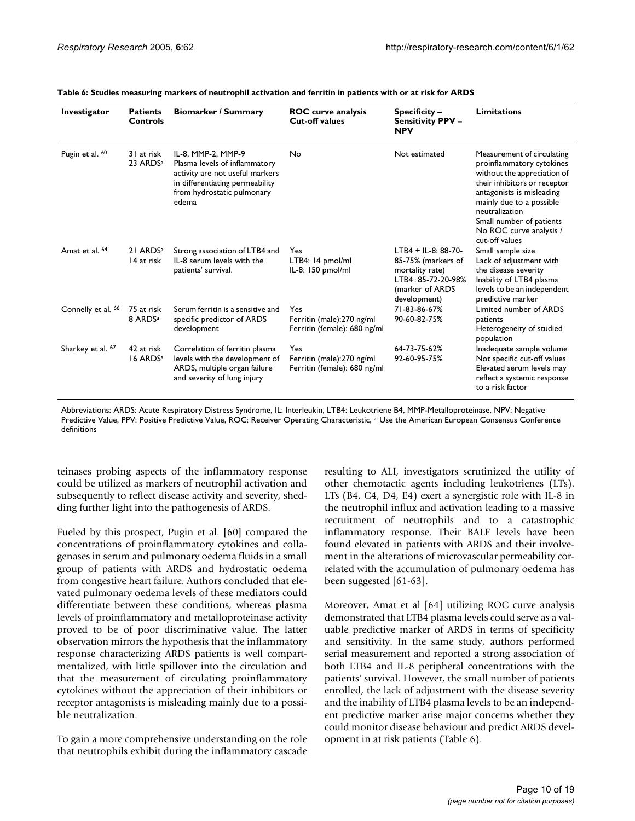| Investigator       | <b>Patients</b><br>Controls        | <b>Biomarker / Summary</b>                                                                                                                                       | <b>ROC</b> curve analysis<br><b>Cut-off values</b>                      | Specificity -<br><b>Sensitivity PPV -</b><br><b>NPV</b>                                                                | Limitations                                                                                                                                                                                                                                                                |
|--------------------|------------------------------------|------------------------------------------------------------------------------------------------------------------------------------------------------------------|-------------------------------------------------------------------------|------------------------------------------------------------------------------------------------------------------------|----------------------------------------------------------------------------------------------------------------------------------------------------------------------------------------------------------------------------------------------------------------------------|
| Pugin et al. 60    | 31 at risk<br>23 ARDSa             | IL-8. MMP-2. MMP-9<br>Plasma levels of inflammatory<br>activity are not useful markers<br>in differentiating permeability<br>from hydrostatic pulmonary<br>edema | No                                                                      | Not estimated                                                                                                          | Measurement of circulating<br>proinflammatory cytokines<br>without the appreciation of<br>their inhibitors or receptor<br>antagonists is misleading<br>mainly due to a possible<br>neutralization<br>Small number of patients<br>No ROC curve analysis /<br>cut-off values |
| Amat et al. 64     | 21 ARDS <sup>a</sup><br>14 at risk | Strong association of LTB4 and<br>IL-8 serum levels with the<br>patients' survival.                                                                              | Yes<br>LTB4: 14 pmol/ml<br>IL-8: 150 pmol/ml                            | $LTB4 + IL-8: 88-70-$<br>85-75% (markers of<br>mortality rate)<br>LTB4:85-72-20-98%<br>(marker of ARDS<br>development) | Small sample size<br>Lack of adjustment with<br>the disease severity<br>Inability of LTB4 plasma<br>levels to be an independent<br>predictive marker                                                                                                                       |
| Connelly et al. 66 | 75 at risk<br>8 ARDS <sup>a</sup>  | Serum ferritin is a sensitive and<br>specific predictor of ARDS<br>development                                                                                   | Yes<br>Ferritin (male):270 ng/ml<br>Ferritin (female): 680 ng/ml        | 71-83-86-67%<br>90-60-82-75%                                                                                           | Limited number of ARDS<br>patients<br>Heterogeneity of studied<br>population                                                                                                                                                                                               |
| Sharkey et al. 67  | 42 at risk<br>16 ARDSa             | Correlation of ferritin plasma<br>levels with the development of<br>ARDS, multiple organ failure<br>and severity of lung injury                                  | <b>Yes</b><br>Ferritin (male):270 ng/ml<br>Ferritin (female): 680 ng/ml | 64-73-75-62%<br>92-60-95-75%                                                                                           | Inadequate sample volume<br>Not specific cut-off values<br>Elevated serum levels may<br>reflect a systemic response<br>to a risk factor                                                                                                                                    |

<span id="page-9-0"></span>**Table 6: Studies measuring markers of neutrophil activation and ferritin in patients with or at risk for ARDS**

Abbreviations: ARDS: Acute Respiratory Distress Syndrome, IL: Interleukin, LTB4: Leukotriene B4, MMP-Metalloproteinase, NPV: Negative Predictive Value, PPV: Positive Predictive Value, ROC: Receiver Operating Characteristic, a: Use the American European Consensus Conference definitions

teinases probing aspects of the inflammatory response could be utilized as markers of neutrophil activation and subsequently to reflect disease activity and severity, shedding further light into the pathogenesis of ARDS.

Fueled by this prospect, Pugin et al. [60] compared the concentrations of proinflammatory cytokines and collagenases in serum and pulmonary oedema fluids in a small group of patients with ARDS and hydrostatic oedema from congestive heart failure. Authors concluded that elevated pulmonary oedema levels of these mediators could differentiate between these conditions, whereas plasma levels of proinflammatory and metalloproteinase activity proved to be of poor discriminative value. The latter observation mirrors the hypothesis that the inflammatory response characterizing ARDS patients is well compartmentalized, with little spillover into the circulation and that the measurement of circulating proinflammatory cytokines without the appreciation of their inhibitors or receptor antagonists is misleading mainly due to a possible neutralization.

To gain a more comprehensive understanding on the role that neutrophils exhibit during the inflammatory cascade resulting to ALI, investigators scrutinized the utility of other chemotactic agents including leukotrienes (LTs). LTs (B4, C4, D4, E4) exert a synergistic role with IL-8 in the neutrophil influx and activation leading to a massive recruitment of neutrophils and to a catastrophic inflammatory response. Their BALF levels have been found elevated in patients with ARDS and their involvement in the alterations of microvascular permeability correlated with the accumulation of pulmonary oedema has been suggested [61-63].

Moreover, Amat et al [64] utilizing ROC curve analysis demonstrated that LTB4 plasma levels could serve as a valuable predictive marker of ARDS in terms of specificity and sensitivity. In the same study, authors performed serial measurement and reported a strong association of both LTB4 and IL-8 peripheral concentrations with the patients' survival. However, the small number of patients enrolled, the lack of adjustment with the disease severity and the inability of LTB4 plasma levels to be an independent predictive marker arise major concerns whether they could monitor disease behaviour and predict ARDS development in at risk patients (Table [6\)](#page-9-0).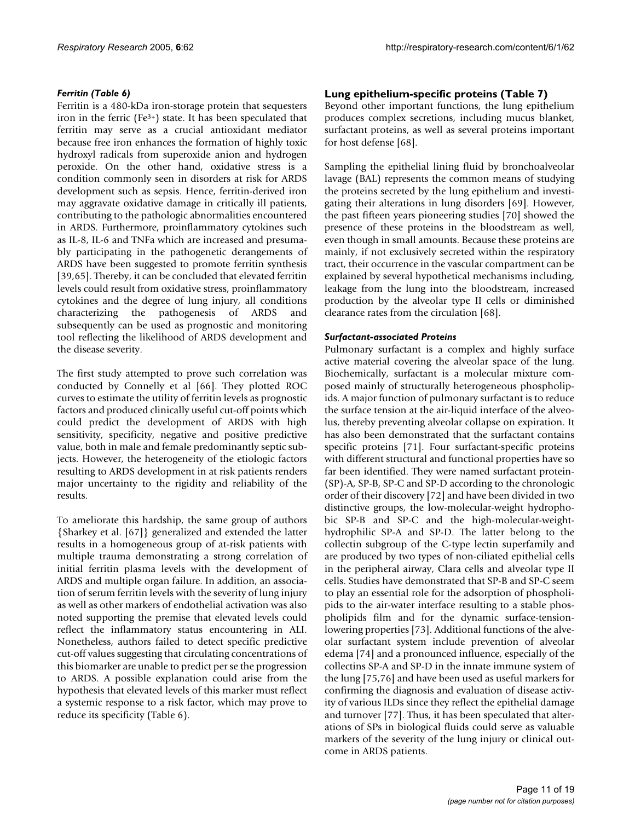## *Ferritin (Table [6](#page-9-0))*

Ferritin is a 480-kDa iron-storage protein that sequesters iron in the ferric (Fe3+) state. It has been speculated that ferritin may serve as a crucial antioxidant mediator because free iron enhances the formation of highly toxic hydroxyl radicals from superoxide anion and hydrogen peroxide. On the other hand, oxidative stress is a condition commonly seen in disorders at risk for ARDS development such as sepsis. Hence, ferritin-derived iron may aggravate oxidative damage in critically ill patients, contributing to the pathologic abnormalities encountered in ARDS. Furthermore, proinflammatory cytokines such as IL-8, IL-6 and TNFa which are increased and presumably participating in the pathogenetic derangements of ARDS have been suggested to promote ferritin synthesis [39,65]. Thereby, it can be concluded that elevated ferritin levels could result from oxidative stress, proinflammatory cytokines and the degree of lung injury, all conditions characterizing the pathogenesis of ARDS and subsequently can be used as prognostic and monitoring tool reflecting the likelihood of ARDS development and the disease severity.

The first study attempted to prove such correlation was conducted by Connelly et al [66]. They plotted ROC curves to estimate the utility of ferritin levels as prognostic factors and produced clinically useful cut-off points which could predict the development of ARDS with high sensitivity, specificity, negative and positive predictive value, both in male and female predominantly septic subjects. However, the heterogeneity of the etiologic factors resulting to ARDS development in at risk patients renders major uncertainty to the rigidity and reliability of the results.

To ameliorate this hardship, the same group of authors {Sharkey et al. [67]} generalized and extended the latter results in a homogeneous group of at-risk patients with multiple trauma demonstrating a strong correlation of initial ferritin plasma levels with the development of ARDS and multiple organ failure. In addition, an association of serum ferritin levels with the severity of lung injury as well as other markers of endothelial activation was also noted supporting the premise that elevated levels could reflect the inflammatory status encountering in ALI. Nonetheless, authors failed to detect specific predictive cut-off values suggesting that circulating concentrations of this biomarker are unable to predict per se the progression to ARDS. A possible explanation could arise from the hypothesis that elevated levels of this marker must reflect a systemic response to a risk factor, which may prove to reduce its specificity (Table [6\)](#page-9-0).

# **Lung epithelium-specific proteins (Table [7](#page-11-0))**

Beyond other important functions, the lung epithelium produces complex secretions, including mucus blanket, surfactant proteins, as well as several proteins important for host defense [68].

Sampling the epithelial lining fluid by bronchoalveolar lavage (BAL) represents the common means of studying the proteins secreted by the lung epithelium and investigating their alterations in lung disorders [69]. However, the past fifteen years pioneering studies [70] showed the presence of these proteins in the bloodstream as well, even though in small amounts. Because these proteins are mainly, if not exclusively secreted within the respiratory tract, their occurrence in the vascular compartment can be explained by several hypothetical mechanisms including, leakage from the lung into the bloodstream, increased production by the alveolar type II cells or diminished clearance rates from the circulation [68].

### *Surfactant-associated Proteins*

Pulmonary surfactant is a complex and highly surface active material covering the alveolar space of the lung. Biochemically, surfactant is a molecular mixture composed mainly of structurally heterogeneous phospholipids. A major function of pulmonary surfactant is to reduce the surface tension at the air-liquid interface of the alveolus, thereby preventing alveolar collapse on expiration. It has also been demonstrated that the surfactant contains specific proteins [71]. Four surfactant-specific proteins with different structural and functional properties have so far been identified. They were named surfactant protein- (SP)-A, SP-B, SP-C and SP-D according to the chronologic order of their discovery [72] and have been divided in two distinctive groups, the low-molecular-weight hydrophobic SP-B and SP-C and the high-molecular-weighthydrophilic SP-A and SP-D. The latter belong to the collectin subgroup of the C-type lectin superfamily and are produced by two types of non-ciliated epithelial cells in the peripheral airway, Clara cells and alveolar type II cells. Studies have demonstrated that SP-B and SP-C seem to play an essential role for the adsorption of phospholipids to the air-water interface resulting to a stable phospholipids film and for the dynamic surface-tensionlowering properties [73]. Additional functions of the alveolar surfactant system include prevention of alveolar edema [74] and a pronounced influence, especially of the collectins SP-A and SP-D in the innate immune system of the lung [75,76] and have been used as useful markers for confirming the diagnosis and evaluation of disease activity of various ILDs since they reflect the epithelial damage and turnover [77]. Thus, it has been speculated that alterations of SPs in biological fluids could serve as valuable markers of the severity of the lung injury or clinical outcome in ARDS patients.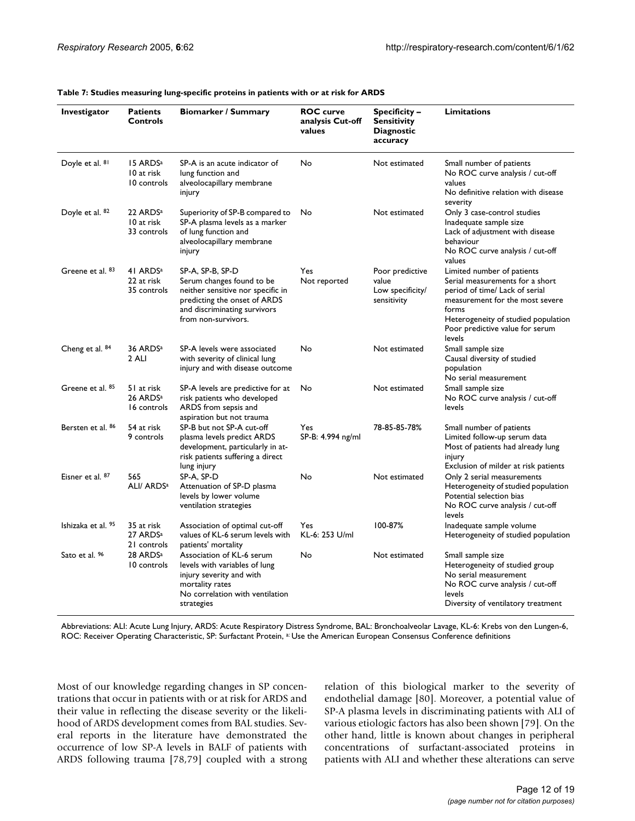| Investigator       | <b>Patients</b><br><b>Controls</b>                | <b>Biomarker / Summary</b>                                                                                                                                                | <b>ROC</b> curve<br>analysis Cut-off<br>values | Specificity –<br><b>Sensitivity</b><br><b>Diagnostic</b><br>accuracy | Limitations                                                                                                                                                                                                                     |
|--------------------|---------------------------------------------------|---------------------------------------------------------------------------------------------------------------------------------------------------------------------------|------------------------------------------------|----------------------------------------------------------------------|---------------------------------------------------------------------------------------------------------------------------------------------------------------------------------------------------------------------------------|
| Doyle et al. 81    | 15 ARDSa<br>10 at risk<br>10 controls             | SP-A is an acute indicator of<br>lung function and<br>alveolocapillary membrane<br>injury                                                                                 | No                                             | Not estimated                                                        | Small number of patients<br>No ROC curve analysis / cut-off<br>values<br>No definitive relation with disease<br>severity                                                                                                        |
| Doyle et al. 82    | 22 ARDS <sup>a</sup><br>10 at risk<br>33 controls | Superiority of SP-B compared to<br>SP-A plasma levels as a marker<br>of lung function and<br>alveolocapillary membrane<br>injury                                          | No                                             | Not estimated                                                        | Only 3 case-control studies<br>Inadequate sample size<br>Lack of adjustment with disease<br>behaviour<br>No ROC curve analysis / cut-off<br>values                                                                              |
| Greene et al. 83   | 41 ARDS <sup>a</sup><br>22 at risk<br>35 controls | SP-A, SP-B, SP-D<br>Serum changes found to be<br>neither sensitive nor specific in<br>predicting the onset of ARDS<br>and discriminating survivors<br>from non-survivors. | Yes<br>Not reported                            | Poor predictive<br>value<br>Low specificity/<br>sensitivity          | Limited number of patients<br>Serial measurements for a short<br>period of time/ Lack of serial<br>measurement for the most severe<br>forms<br>Heterogeneity of studied population<br>Poor predictive value for serum<br>levels |
| Cheng et al. 84    | 36 ARDS <sup>a</sup><br>2 ALI                     | SP-A levels were associated<br>with severity of clinical lung<br>injury and with disease outcome                                                                          | No                                             | Not estimated                                                        | Small sample size<br>Causal diversity of studied<br>population<br>No serial measurement                                                                                                                                         |
| Greene et al. 85   | 51 at risk<br>26 ARDS <sup>a</sup><br>16 controls | SP-A levels are predictive for at<br>risk patients who developed<br>ARDS from sepsis and<br>aspiration but not trauma                                                     | No                                             | Not estimated                                                        | Small sample size<br>No ROC curve analysis / cut-off<br>levels                                                                                                                                                                  |
| Bersten et al. 86  | 54 at risk<br>9 controls                          | SP-B but not SP-A cut-off<br>plasma levels predict ARDS<br>development, particularly in at-<br>risk patients suffering a direct<br>lung injury                            | Yes<br>SP-B: 4.994 ng/ml                       | 78-85-85-78%                                                         | Small number of patients<br>Limited follow-up serum data<br>Most of patients had already lung<br>injury<br>Exclusion of milder at risk patients                                                                                 |
| Eisner et al. 87   | 565<br>ALI/ ARDS <sup>a</sup>                     | SP-A, SP-D<br>Attenuation of SP-D plasma<br>levels by lower volume<br>ventilation strategies                                                                              | No                                             | Not estimated                                                        | Only 2 serial measurements<br>Heterogeneity of studied population<br>Potential selection bias<br>No ROC curve analysis / cut-off<br>levels                                                                                      |
| Ishizaka et al. 95 | 35 at risk<br>27 ARDSa<br>21 controls             | Association of optimal cut-off<br>values of KL-6 serum levels with<br>patients' mortality                                                                                 | Yes<br>KL-6: 253 U/ml                          | 100-87%                                                              | Inadequate sample volume<br>Heterogeneity of studied population                                                                                                                                                                 |
| Sato et al. 96     | 28 ARDSa<br>10 controls                           | Association of KL-6 serum<br>levels with variables of lung<br>injury severity and with<br>mortality rates<br>No correlation with ventilation<br>strategies                | No                                             | Not estimated                                                        | Small sample size<br>Heterogeneity of studied group<br>No serial measurement<br>No ROC curve analysis / cut-off<br>levels<br>Diversity of ventilatory treatment                                                                 |

#### <span id="page-11-0"></span>**Table 7: Studies measuring lung-specific proteins in patients with or at risk for ARDS**

Abbreviations: ALI: Acute Lung Injury, ARDS: Acute Respiratory Distress Syndrome, BAL: Bronchoalveolar Lavage, KL-6: Krebs von den Lungen-6, ROC: Receiver Operating Characteristic, SP: Surfactant Protein, a: Use the American European Consensus Conference definitions

Most of our knowledge regarding changes in SP concentrations that occur in patients with or at risk for ARDS and their value in reflecting the disease severity or the likelihood of ARDS development comes from BAL studies. Several reports in the literature have demonstrated the occurrence of low SP-A levels in BALF of patients with ARDS following trauma [78,79] coupled with a strong relation of this biological marker to the severity of endothelial damage [80]. Moreover, a potential value of SP-A plasma levels in discriminating patients with ALI of various etiologic factors has also been shown [79]. On the other hand, little is known about changes in peripheral concentrations of surfactant-associated proteins in patients with ALI and whether these alterations can serve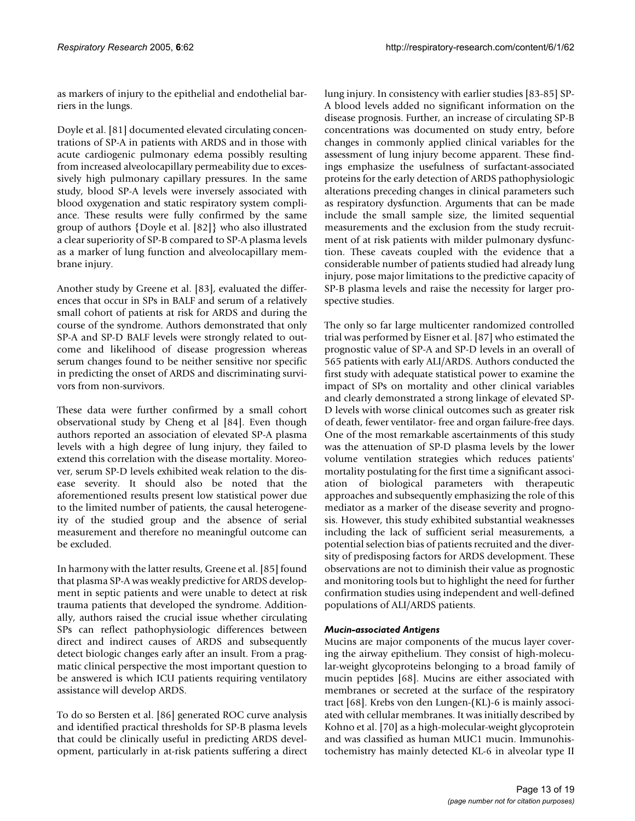as markers of injury to the epithelial and endothelial barriers in the lungs.

Doyle et al. [81] documented elevated circulating concentrations of SP-A in patients with ARDS and in those with acute cardiogenic pulmonary edema possibly resulting from increased alveolocapillary permeability due to excessively high pulmonary capillary pressures. In the same study, blood SP-A levels were inversely associated with blood oxygenation and static respiratory system compliance. These results were fully confirmed by the same group of authors {Doyle et al. [82]} who also illustrated a clear superiority of SP-B compared to SP-A plasma levels as a marker of lung function and alveolocapillary membrane injury.

Another study by Greene et al. [83], evaluated the differences that occur in SPs in BALF and serum of a relatively small cohort of patients at risk for ARDS and during the course of the syndrome. Authors demonstrated that only SP-A and SP-D BALF levels were strongly related to outcome and likelihood of disease progression whereas serum changes found to be neither sensitive nor specific in predicting the onset of ARDS and discriminating survivors from non-survivors.

These data were further confirmed by a small cohort observational study by Cheng et al [84]. Even though authors reported an association of elevated SP-A plasma levels with a high degree of lung injury, they failed to extend this correlation with the disease mortality. Moreover, serum SP-D levels exhibited weak relation to the disease severity. It should also be noted that the aforementioned results present low statistical power due to the limited number of patients, the causal heterogeneity of the studied group and the absence of serial measurement and therefore no meaningful outcome can be excluded.

In harmony with the latter results, Greene et al. [85] found that plasma SP-A was weakly predictive for ARDS development in septic patients and were unable to detect at risk trauma patients that developed the syndrome. Additionally, authors raised the crucial issue whether circulating SPs can reflect pathophysiologic differences between direct and indirect causes of ARDS and subsequently detect biologic changes early after an insult. From a pragmatic clinical perspective the most important question to be answered is which ICU patients requiring ventilatory assistance will develop ARDS.

To do so Bersten et al. [86] generated ROC curve analysis and identified practical thresholds for SP-B plasma levels that could be clinically useful in predicting ARDS development, particularly in at-risk patients suffering a direct

lung injury. In consistency with earlier studies [83-85] SP-A blood levels added no significant information on the disease prognosis. Further, an increase of circulating SP-B concentrations was documented on study entry, before changes in commonly applied clinical variables for the assessment of lung injury become apparent. These findings emphasize the usefulness of surfactant-associated proteins for the early detection of ARDS pathophysiologic alterations preceding changes in clinical parameters such as respiratory dysfunction. Arguments that can be made include the small sample size, the limited sequential measurements and the exclusion from the study recruitment of at risk patients with milder pulmonary dysfunction. These caveats coupled with the evidence that a considerable number of patients studied had already lung injury, pose major limitations to the predictive capacity of SP-B plasma levels and raise the necessity for larger prospective studies.

The only so far large multicenter randomized controlled trial was performed by Eisner et al. [87] who estimated the prognostic value of SP-A and SP-D levels in an overall of 565 patients with early ALI/ARDS. Authors conducted the first study with adequate statistical power to examine the impact of SPs on mortality and other clinical variables and clearly demonstrated a strong linkage of elevated SP-D levels with worse clinical outcomes such as greater risk of death, fewer ventilator- free and organ failure-free days. One of the most remarkable ascertainments of this study was the attenuation of SP-D plasma levels by the lower volume ventilation strategies which reduces patients' mortality postulating for the first time a significant association of biological parameters with therapeutic approaches and subsequently emphasizing the role of this mediator as a marker of the disease severity and prognosis. However, this study exhibited substantial weaknesses including the lack of sufficient serial measurements, a potential selection bias of patients recruited and the diversity of predisposing factors for ARDS development. These observations are not to diminish their value as prognostic and monitoring tools but to highlight the need for further confirmation studies using independent and well-defined populations of ALI/ARDS patients.

### *Mucin-associated Antigens*

Mucins are major components of the mucus layer covering the airway epithelium. They consist of high-molecular-weight glycoproteins belonging to a broad family of mucin peptides [68]. Mucins are either associated with membranes or secreted at the surface of the respiratory tract [68]. Krebs von den Lungen-(KL)-6 is mainly associated with cellular membranes. It was initially described by Kohno et al. [70] as a high-molecular-weight glycoprotein and was classified as human MUC1 mucin. Immunohistochemistry has mainly detected KL-6 in alveolar type II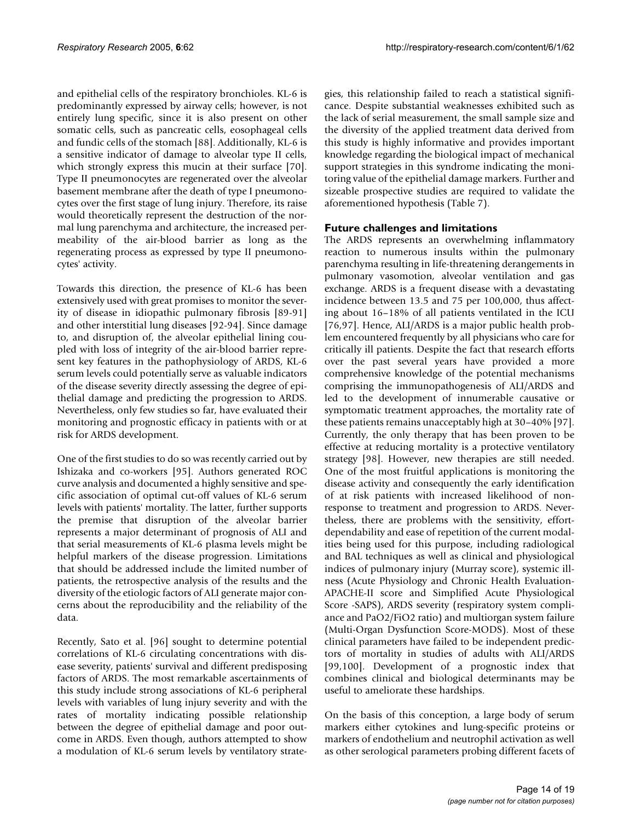and epithelial cells of the respiratory bronchioles. KL-6 is predominantly expressed by airway cells; however, is not entirely lung specific, since it is also present on other somatic cells, such as pancreatic cells, eosophageal cells and fundic cells of the stomach [88]. Additionally, KL-6 is a sensitive indicator of damage to alveolar type II cells, which strongly express this mucin at their surface [70]. Type II pneumonocytes are regenerated over the alveolar basement membrane after the death of type I pneumonocytes over the first stage of lung injury. Therefore, its raise would theoretically represent the destruction of the normal lung parenchyma and architecture, the increased permeability of the air-blood barrier as long as the regenerating process as expressed by type II pneumonocytes' activity.

Towards this direction, the presence of KL-6 has been extensively used with great promises to monitor the severity of disease in idiopathic pulmonary fibrosis [89-91] and other interstitial lung diseases [92-94]. Since damage to, and disruption of, the alveolar epithelial lining coupled with loss of integrity of the air-blood barrier represent key features in the pathophysiology of ARDS, KL-6 serum levels could potentially serve as valuable indicators of the disease severity directly assessing the degree of epithelial damage and predicting the progression to ARDS. Nevertheless, only few studies so far, have evaluated their monitoring and prognostic efficacy in patients with or at risk for ARDS development.

One of the first studies to do so was recently carried out by Ishizaka and co-workers [95]. Authors generated ROC curve analysis and documented a highly sensitive and specific association of optimal cut-off values of KL-6 serum levels with patients' mortality. The latter, further supports the premise that disruption of the alveolar barrier represents a major determinant of prognosis of ALI and that serial measurements of KL-6 plasma levels might be helpful markers of the disease progression. Limitations that should be addressed include the limited number of patients, the retrospective analysis of the results and the diversity of the etiologic factors of ALI generate major concerns about the reproducibility and the reliability of the data.

Recently, Sato et al. [96] sought to determine potential correlations of KL-6 circulating concentrations with disease severity, patients' survival and different predisposing factors of ARDS. The most remarkable ascertainments of this study include strong associations of KL-6 peripheral levels with variables of lung injury severity and with the rates of mortality indicating possible relationship between the degree of epithelial damage and poor outcome in ARDS. Even though, authors attempted to show a modulation of KL-6 serum levels by ventilatory strategies, this relationship failed to reach a statistical significance. Despite substantial weaknesses exhibited such as the lack of serial measurement, the small sample size and the diversity of the applied treatment data derived from this study is highly informative and provides important knowledge regarding the biological impact of mechanical support strategies in this syndrome indicating the monitoring value of the epithelial damage markers. Further and sizeable prospective studies are required to validate the aforementioned hypothesis (Table [7\)](#page-11-0).

# **Future challenges and limitations**

The ARDS represents an overwhelming inflammatory reaction to numerous insults within the pulmonary parenchyma resulting in life-threatening derangements in pulmonary vasomotion, alveolar ventilation and gas exchange. ARDS is a frequent disease with a devastating incidence between 13.5 and 75 per 100,000, thus affecting about 16–18% of all patients ventilated in the ICU [76,97]. Hence, ALI/ARDS is a major public health problem encountered frequently by all physicians who care for critically ill patients. Despite the fact that research efforts over the past several years have provided a more comprehensive knowledge of the potential mechanisms comprising the immunopathogenesis of ALI/ARDS and led to the development of innumerable causative or symptomatic treatment approaches, the mortality rate of these patients remains unacceptably high at 30–40% [97]. Currently, the only therapy that has been proven to be effective at reducing mortality is a protective ventilatory strategy [98]. However, new therapies are still needed. One of the most fruitful applications is monitoring the disease activity and consequently the early identification of at risk patients with increased likelihood of nonresponse to treatment and progression to ARDS. Nevertheless, there are problems with the sensitivity, effortdependability and ease of repetition of the current modalities being used for this purpose, including radiological and BAL techniques as well as clinical and physiological indices of pulmonary injury (Murray score), systemic illness (Acute Physiology and Chronic Health Evaluation-APACHE-II score and Simplified Acute Physiological Score -SAPS), ARDS severity (respiratory system compliance and PaO2/FiO2 ratio) and multiorgan system failure (Multi-Organ Dysfunction Score-MODS). Most of these clinical parameters have failed to be independent predictors of mortality in studies of adults with ALI/ARDS [99,100]. Development of a prognostic index that combines clinical and biological determinants may be useful to ameliorate these hardships.

On the basis of this conception, a large body of serum markers either cytokines and lung-specific proteins or markers of endothelium and neutrophil activation as well as other serological parameters probing different facets of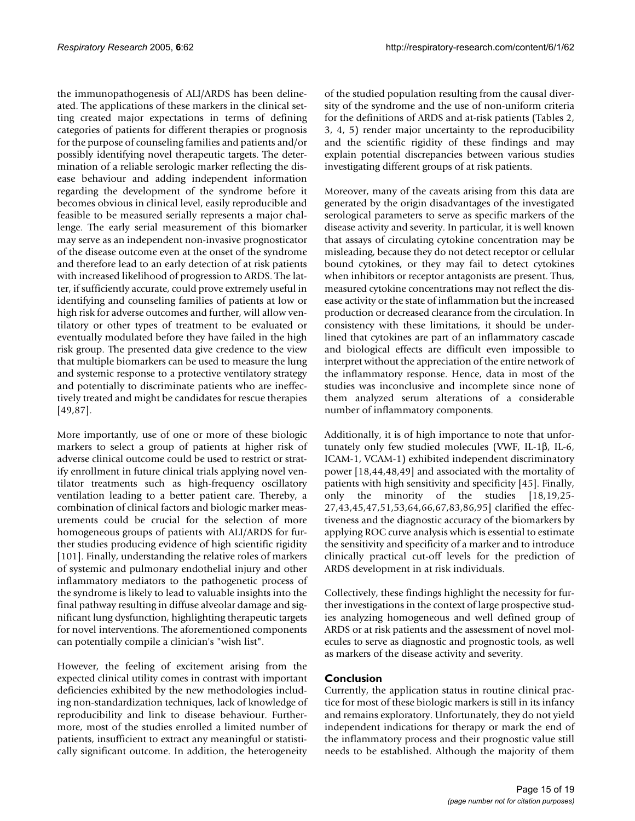the immunopathogenesis of ALI/ARDS has been delineated. The applications of these markers in the clinical setting created major expectations in terms of defining categories of patients for different therapies or prognosis for the purpose of counseling families and patients and/or possibly identifying novel therapeutic targets. The determination of a reliable serologic marker reflecting the disease behaviour and adding independent information regarding the development of the syndrome before it becomes obvious in clinical level, easily reproducible and feasible to be measured serially represents a major challenge. The early serial measurement of this biomarker may serve as an independent non-invasive prognosticator of the disease outcome even at the onset of the syndrome and therefore lead to an early detection of at risk patients with increased likelihood of progression to ARDS. The latter, if sufficiently accurate, could prove extremely useful in identifying and counseling families of patients at low or high risk for adverse outcomes and further, will allow ventilatory or other types of treatment to be evaluated or eventually modulated before they have failed in the high risk group. The presented data give credence to the view that multiple biomarkers can be used to measure the lung and systemic response to a protective ventilatory strategy and potentially to discriminate patients who are ineffectively treated and might be candidates for rescue therapies [49,87].

More importantly, use of one or more of these biologic markers to select a group of patients at higher risk of adverse clinical outcome could be used to restrict or stratify enrollment in future clinical trials applying novel ventilator treatments such as high-frequency oscillatory ventilation leading to a better patient care. Thereby, a combination of clinical factors and biologic marker measurements could be crucial for the selection of more homogeneous groups of patients with ALI/ARDS for further studies producing evidence of high scientific rigidity [101]. Finally, understanding the relative roles of markers of systemic and pulmonary endothelial injury and other inflammatory mediators to the pathogenetic process of the syndrome is likely to lead to valuable insights into the final pathway resulting in diffuse alveolar damage and significant lung dysfunction, highlighting therapeutic targets for novel interventions. The aforementioned components can potentially compile a clinician's "wish list".

However, the feeling of excitement arising from the expected clinical utility comes in contrast with important deficiencies exhibited by the new methodologies including non-standardization techniques, lack of knowledge of reproducibility and link to disease behaviour. Furthermore, most of the studies enrolled a limited number of patients, insufficient to extract any meaningful or statistically significant outcome. In addition, the heterogeneity of the studied population resulting from the causal diversity of the syndrome and the use of non-uniform criteria for the definitions of ARDS and at-risk patients (Tables [2,](#page-2-0) [3](#page-3-0), 4, [5](#page-6-0)) render major uncertainty to the reproducibility and the scientific rigidity of these findings and may explain potential discrepancies between various studies investigating different groups of at risk patients.

Moreover, many of the caveats arising from this data are generated by the origin disadvantages of the investigated serological parameters to serve as specific markers of the disease activity and severity. In particular, it is well known that assays of circulating cytokine concentration may be misleading, because they do not detect receptor or cellular bound cytokines, or they may fail to detect cytokines when inhibitors or receptor antagonists are present. Thus, measured cytokine concentrations may not reflect the disease activity or the state of inflammation but the increased production or decreased clearance from the circulation. In consistency with these limitations, it should be underlined that cytokines are part of an inflammatory cascade and biological effects are difficult even impossible to interpret without the appreciation of the entire network of the inflammatory response. Hence, data in most of the studies was inconclusive and incomplete since none of them analyzed serum alterations of a considerable number of inflammatory components.

Additionally, it is of high importance to note that unfortunately only few studied molecules (VWF, IL-1β, IL-6, ICAM-1, VCAM-1) exhibited independent discriminatory power [18,44,48,49] and associated with the mortality of patients with high sensitivity and specificity [45]. Finally, only the minority of the studies [18,19,25- 27,43,45,47,51,53,64,66,67,83,86,95] clarified the effectiveness and the diagnostic accuracy of the biomarkers by applying ROC curve analysis which is essential to estimate the sensitivity and specificity of a marker and to introduce clinically practical cut-off levels for the prediction of ARDS development in at risk individuals.

Collectively, these findings highlight the necessity for further investigations in the context of large prospective studies analyzing homogeneous and well defined group of ARDS or at risk patients and the assessment of novel molecules to serve as diagnostic and prognostic tools, as well as markers of the disease activity and severity.

# **Conclusion**

Currently, the application status in routine clinical practice for most of these biologic markers is still in its infancy and remains exploratory. Unfortunately, they do not yield independent indications for therapy or mark the end of the inflammatory process and their prognostic value still needs to be established. Although the majority of them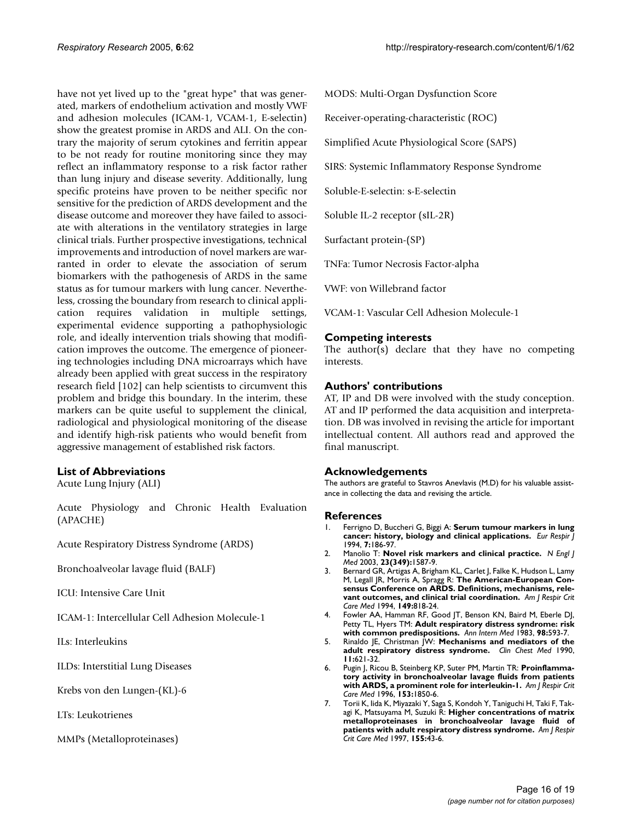have not yet lived up to the "great hype" that was generated, markers of endothelium activation and mostly VWF and adhesion molecules (ICAM-1, VCAM-1, E-selectin) show the greatest promise in ARDS and ALI. On the contrary the majority of serum cytokines and ferritin appear to be not ready for routine monitoring since they may reflect an inflammatory response to a risk factor rather than lung injury and disease severity. Additionally, lung specific proteins have proven to be neither specific nor sensitive for the prediction of ARDS development and the disease outcome and moreover they have failed to associate with alterations in the ventilatory strategies in large clinical trials. Further prospective investigations, technical improvements and introduction of novel markers are warranted in order to elevate the association of serum biomarkers with the pathogenesis of ARDS in the same status as for tumour markers with lung cancer. Nevertheless, crossing the boundary from research to clinical application requires validation in multiple settings, experimental evidence supporting a pathophysiologic role, and ideally intervention trials showing that modification improves the outcome. The emergence of pioneering technologies including DNA microarrays which have already been applied with great success in the respiratory research field [102] can help scientists to circumvent this problem and bridge this boundary. In the interim, these markers can be quite useful to supplement the clinical, radiological and physiological monitoring of the disease and identify high-risk patients who would benefit from aggressive management of established risk factors.

### **List of Abbreviations**

Acute Lung Injury (ALI)

Acute Physiology and Chronic Health Evaluation (APACHE)

Acute Respiratory Distress Syndrome (ARDS)

Bronchoalveolar lavage fluid (BALF)

ICU: Intensive Care Unit

ICAM-1: Intercellular Cell Adhesion Molecule-1

ILs: Interleukins

ILDs: Interstitial Lung Diseases

Krebs von den Lungen-(KL)-6

LTs: Leukotrienes

MMPs (Metalloproteinases)

MODS: Multi-Organ Dysfunction Score

Receiver-operating-characteristic (ROC)

Simplified Acute Physiological Score (SAPS)

SIRS: Systemic Inflammatory Response Syndrome

Soluble-E-selectin: s-E-selectin

Soluble IL-2 receptor (sIL-2R)

Surfactant protein-(SP)

TNFa: Tumor Necrosis Factor-alpha

VWF: von Willebrand factor

VCAM-1: Vascular Cell Adhesion Molecule-1

#### **Competing interests**

The author(s) declare that they have no competing interests.

#### **Authors' contributions**

AT, IP and DB were involved with the study conception. AT and IP performed the data acquisition and interpretation. DB was involved in revising the article for important intellectual content. All authors read and approved the final manuscript.

#### **Acknowledgements**

The authors are grateful to Stavros Anevlavis (M.D) for his valuable assistance in collecting the data and revising the article.

#### **References**

- 1. Ferrigno D, Buccheri G, Biggi A: **[Serum tumour markers in lung](http://www.ncbi.nlm.nih.gov/entrez/query.fcgi?cmd=Retrieve&db=PubMed&dopt=Abstract&list_uids=8143820) [cancer: history, biology and clinical applications.](http://www.ncbi.nlm.nih.gov/entrez/query.fcgi?cmd=Retrieve&db=PubMed&dopt=Abstract&list_uids=8143820)** *Eur Respir J* 1994, **7:**186-97.
- 2. Manolio T: **Novel risk markers and clinical practice.** *N Engl J Med* 2003, **23(349):**1587-9.
- 3. Bernard GR, Artigas A, Brigham KL, Carlet J, Falke K, Hudson L, Lamy M, Legall JR, Morris A, Spragg R: **[The American-European Con](http://www.ncbi.nlm.nih.gov/entrez/query.fcgi?cmd=Retrieve&db=PubMed&dopt=Abstract&list_uids=7509706)[sensus Conference on ARDS. Definitions, mechanisms, rele](http://www.ncbi.nlm.nih.gov/entrez/query.fcgi?cmd=Retrieve&db=PubMed&dopt=Abstract&list_uids=7509706)[vant outcomes, and clinical trial coordination.](http://www.ncbi.nlm.nih.gov/entrez/query.fcgi?cmd=Retrieve&db=PubMed&dopt=Abstract&list_uids=7509706)** *Am J Respir Crit Care Med* 1994, **149:**818-24.
- 4. Fowler AA, Hamman RF, Good JT, Benson KN, Baird M, Eberle DJ, Petty TL, Hyers TM: **[Adult respiratory distress syndrome: risk](http://www.ncbi.nlm.nih.gov/entrez/query.fcgi?cmd=Retrieve&db=PubMed&dopt=Abstract&list_uids=6846973) [with common predispositions.](http://www.ncbi.nlm.nih.gov/entrez/query.fcgi?cmd=Retrieve&db=PubMed&dopt=Abstract&list_uids=6846973)** *Ann Intern Med* 1983, **98:**593-7.
- 5. Rinaldo JE, Christman JW: **[Mechanisms and mediators of the](http://www.ncbi.nlm.nih.gov/entrez/query.fcgi?cmd=Retrieve&db=PubMed&dopt=Abstract&list_uids=2268993) [adult respiratory distress syndrome.](http://www.ncbi.nlm.nih.gov/entrez/query.fcgi?cmd=Retrieve&db=PubMed&dopt=Abstract&list_uids=2268993)** *Clin Chest Med* 1990, **11:**621-32.
- 6. Pugin J, Ricou B, Steinberg KP, Suter PM, Martin TR: **[Proinflamma](http://www.ncbi.nlm.nih.gov/entrez/query.fcgi?cmd=Retrieve&db=PubMed&dopt=Abstract&list_uids=8665045)[tory activity in bronchoalveolar lavage fluids from patients](http://www.ncbi.nlm.nih.gov/entrez/query.fcgi?cmd=Retrieve&db=PubMed&dopt=Abstract&list_uids=8665045) [with ARDS, a prominent role for interleukin-1.](http://www.ncbi.nlm.nih.gov/entrez/query.fcgi?cmd=Retrieve&db=PubMed&dopt=Abstract&list_uids=8665045)** *Am J Respir Crit Care Med* 1996, **153:**1850-6.
- 7. Torii K, Iida K, Miyazaki Y, Saga S, Kondoh Y, Taniguchi H, Taki F, Takagi K, Matsuyama M, Suzuki R: **[Higher concentrations of matrix](http://www.ncbi.nlm.nih.gov/entrez/query.fcgi?cmd=Retrieve&db=PubMed&dopt=Abstract&list_uids=9001287) [metalloproteinases in bronchoalveolar lavage fluid of](http://www.ncbi.nlm.nih.gov/entrez/query.fcgi?cmd=Retrieve&db=PubMed&dopt=Abstract&list_uids=9001287) [patients with adult respiratory distress syndrome.](http://www.ncbi.nlm.nih.gov/entrez/query.fcgi?cmd=Retrieve&db=PubMed&dopt=Abstract&list_uids=9001287)** *Am J Respir Crit Care Med* 1997, **155:**43-6.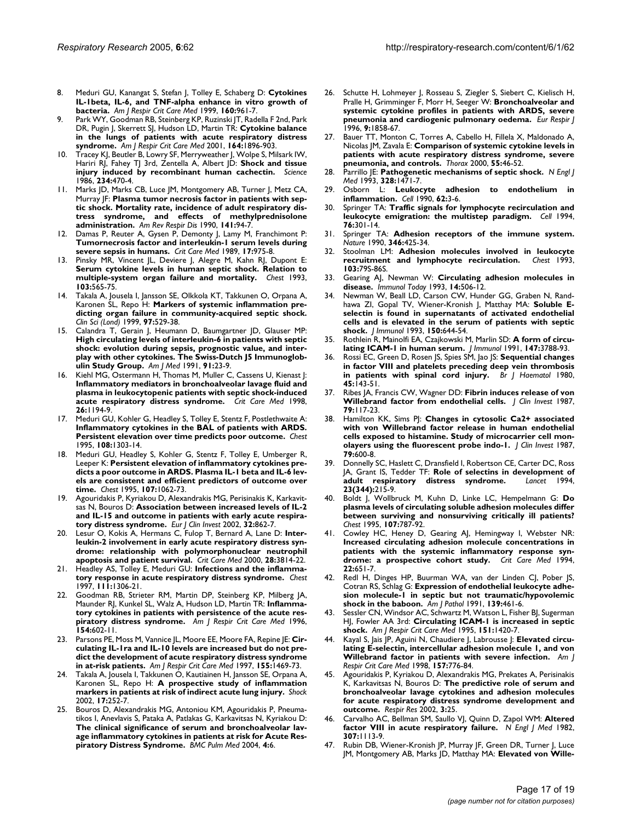- 8. Meduri GU, Kanangat S, Stefan J, Tolley E, Schaberg D: **[Cytokines](http://www.ncbi.nlm.nih.gov/entrez/query.fcgi?cmd=Retrieve&db=PubMed&dopt=Abstract&list_uids=10471625) [IL-1beta, IL-6, and TNF-alpha enhance in vitro growth of](http://www.ncbi.nlm.nih.gov/entrez/query.fcgi?cmd=Retrieve&db=PubMed&dopt=Abstract&list_uids=10471625) [bacteria.](http://www.ncbi.nlm.nih.gov/entrez/query.fcgi?cmd=Retrieve&db=PubMed&dopt=Abstract&list_uids=10471625)** *Am J Respir Crit Care Med* 1999, **160:**961-7.
- 9. Park WY, Goodman RB, Steinberg KP, Ruzinski JT, Radella F 2nd, Park DR, Pugin J, Skerrett SJ, Hudson LD, Martin TR: **[Cytokine balance](http://www.ncbi.nlm.nih.gov/entrez/query.fcgi?cmd=Retrieve&db=PubMed&dopt=Abstract&list_uids=11734443) [in the lungs of patients with acute respiratory distress](http://www.ncbi.nlm.nih.gov/entrez/query.fcgi?cmd=Retrieve&db=PubMed&dopt=Abstract&list_uids=11734443) [syndrome.](http://www.ncbi.nlm.nih.gov/entrez/query.fcgi?cmd=Retrieve&db=PubMed&dopt=Abstract&list_uids=11734443)** *Am J Respir Crit Care Med* 2001, **164:**1896-903.
- 10. Tracey KJ, Beutler B, Lowry SF, Merryweather J, Wolpe S, Milsark IW, Hariri RJ, Fahey TJ 3rd, Zentella A, Albert JD: **[Shock and tissue](http://www.ncbi.nlm.nih.gov/entrez/query.fcgi?cmd=Retrieve&db=PubMed&dopt=Abstract&list_uids=3764421) [injury induced by recombinant human cachectin.](http://www.ncbi.nlm.nih.gov/entrez/query.fcgi?cmd=Retrieve&db=PubMed&dopt=Abstract&list_uids=3764421)** *Science* 1986, **234:**470-4.
- 11. Marks JD, Marks CB, Luce JM, Montgomery AB, Turner J, Metz CA, Murray JF: **[Plasma tumor necrosis factor in patients with sep](http://www.ncbi.nlm.nih.gov/entrez/query.fcgi?cmd=Retrieve&db=PubMed&dopt=Abstract&list_uids=2297191)tic shock. Mortality rate, incidence of adult respiratory dis[tress syndrome, and effects of methylprednisolone](http://www.ncbi.nlm.nih.gov/entrez/query.fcgi?cmd=Retrieve&db=PubMed&dopt=Abstract&list_uids=2297191) [administration.](http://www.ncbi.nlm.nih.gov/entrez/query.fcgi?cmd=Retrieve&db=PubMed&dopt=Abstract&list_uids=2297191)** *Am Rev Respir Dis* 1990, **141:**94-7.
- 12. Damas P, Reuter A, Gysen P, Demonty J, Lamy M, Franchimont P: **[Tumornecrosis factor and interleukin-1 serum levels during](http://www.ncbi.nlm.nih.gov/entrez/query.fcgi?cmd=Retrieve&db=PubMed&dopt=Abstract&list_uids=2791581) [severe sepsis in humans.](http://www.ncbi.nlm.nih.gov/entrez/query.fcgi?cmd=Retrieve&db=PubMed&dopt=Abstract&list_uids=2791581)** *Crit Care Med* 1989, **17:**975-8.
- 13. Pinsky MR, Vincent JL, Deviere J, Alegre M, Kahn RJ, Dupont E: **[Serum cytokine levels in human septic shock. Relation to](http://www.ncbi.nlm.nih.gov/entrez/query.fcgi?cmd=Retrieve&db=PubMed&dopt=Abstract&list_uids=8432155) [multiple-system organ failure and mortality.](http://www.ncbi.nlm.nih.gov/entrez/query.fcgi?cmd=Retrieve&db=PubMed&dopt=Abstract&list_uids=8432155)** *Chest* 1993, **103:**565-75.
- 14. Takala A, Jousela I, Jansson SE, Olkkola KT, Takkunen O, Orpana A, Karonen SL, Repo H: **[Markers of systemic inflammation pre](http://www.ncbi.nlm.nih.gov/entrez/query.fcgi?cmd=Retrieve&db=PubMed&dopt=Abstract&list_uids=10545303)[dicting organ failure in community-acquired septic shock.](http://www.ncbi.nlm.nih.gov/entrez/query.fcgi?cmd=Retrieve&db=PubMed&dopt=Abstract&list_uids=10545303)** *Clin Sci (Lond)* 1999, **97:**529-38.
- 15. Calandra T, Gerain J, Heumann D, Baumgartner JD, Glauser MP: **[High circulating levels of interleukin-6 in patients with septic](http://www.ncbi.nlm.nih.gov/entrez/query.fcgi?cmd=Retrieve&db=PubMed&dopt=Abstract&list_uids=1907101) shock: evolution during sepsis, prognostic value, and interplay with other cytokines. The Swiss-Dutch J5 Immunoglob[ulin Study Group.](http://www.ncbi.nlm.nih.gov/entrez/query.fcgi?cmd=Retrieve&db=PubMed&dopt=Abstract&list_uids=1907101)** *Am J Med* 1991, **91:**23-9.
- 16. Kiehl MG, Ostermann H, Thomas M, Muller C, Cassens U, Kienast J: **Inflammatory mediators in bronchoalveolar lavage fluid and [plasma in leukocytopenic patients with septic shock-induced](http://www.ncbi.nlm.nih.gov/entrez/query.fcgi?cmd=Retrieve&db=PubMed&dopt=Abstract&list_uids=9671368) [acute respiratory distress syndrome.](http://www.ncbi.nlm.nih.gov/entrez/query.fcgi?cmd=Retrieve&db=PubMed&dopt=Abstract&list_uids=9671368)** *Crit Care Med* 1998, **26:**1194-9.
- 17. Meduri GU, Kohler G, Headley S, Tolley E, Stentz F, Postlethwaite A: **[Inflammatory cytokines in the BAL of patients with ARDS.](http://www.ncbi.nlm.nih.gov/entrez/query.fcgi?cmd=Retrieve&db=PubMed&dopt=Abstract&list_uids=7587434) [Persistent elevation over time predicts poor outcome.](http://www.ncbi.nlm.nih.gov/entrez/query.fcgi?cmd=Retrieve&db=PubMed&dopt=Abstract&list_uids=7587434)** *Chest* 1995, **108:**1303-14.
- 18. Meduri GU, Headley S, Kohler G, Stentz F, Tolley E, Umberger R, Leeper K: **[Persistent elevation of inflammatory cytokines pre](http://www.ncbi.nlm.nih.gov/entrez/query.fcgi?cmd=Retrieve&db=PubMed&dopt=Abstract&list_uids=7705118)dicts a poor outcome in ARDS. Plasma IL-1 beta and IL-6 lev[els are consistent and efficient predictors of outcome over](http://www.ncbi.nlm.nih.gov/entrez/query.fcgi?cmd=Retrieve&db=PubMed&dopt=Abstract&list_uids=7705118) [time.](http://www.ncbi.nlm.nih.gov/entrez/query.fcgi?cmd=Retrieve&db=PubMed&dopt=Abstract&list_uids=7705118)** *Chest* 1995, **107:**1062-73.
- 19. Agouridakis P, Kyriakou D, Alexandrakis MG, Perisinakis K, Karkavitsas N, Bouros D: **[Association between increased levels of IL-2](http://www.ncbi.nlm.nih.gov/entrez/query.fcgi?cmd=Retrieve&db=PubMed&dopt=Abstract&list_uids=12423329) [and IL-15 and outcome in patients with early acute respira](http://www.ncbi.nlm.nih.gov/entrez/query.fcgi?cmd=Retrieve&db=PubMed&dopt=Abstract&list_uids=12423329)[tory distress syndrome.](http://www.ncbi.nlm.nih.gov/entrez/query.fcgi?cmd=Retrieve&db=PubMed&dopt=Abstract&list_uids=12423329)** *Eur J Clin Invest* 2002, **32:**862-7.
- 20. Lesur O, Kokis A, Hermans C, Fulop T, Bernard A, Lane D: **[Inter](http://www.ncbi.nlm.nih.gov/entrez/query.fcgi?cmd=Retrieve&db=PubMed&dopt=Abstract&list_uids=11153619)leukin-2 involvement in early acute respiratory distress syn[drome: relationship with polymorphonuclear neutrophil](http://www.ncbi.nlm.nih.gov/entrez/query.fcgi?cmd=Retrieve&db=PubMed&dopt=Abstract&list_uids=11153619) [apoptosis and patient survival.](http://www.ncbi.nlm.nih.gov/entrez/query.fcgi?cmd=Retrieve&db=PubMed&dopt=Abstract&list_uids=11153619)** *Crit Care Med* 2000, **28:**3814-22.
- 21. Headley AS, Tolley E, Meduri GU: **[Infections and the inflamma](http://www.ncbi.nlm.nih.gov/entrez/query.fcgi?cmd=Retrieve&db=PubMed&dopt=Abstract&list_uids=9149588)[tory response in acute respiratory distress syndrome.](http://www.ncbi.nlm.nih.gov/entrez/query.fcgi?cmd=Retrieve&db=PubMed&dopt=Abstract&list_uids=9149588)** *Chest* 1997, **111:**1306-21.
- 22. Goodman RB, Strieter RM, Martin DP, Steinberg KP, Milberg JA, Maunder RJ, Kunkel SL, Walz A, Hudson LD, Martin TR: **[Inflamma](http://www.ncbi.nlm.nih.gov/entrez/query.fcgi?cmd=Retrieve&db=PubMed&dopt=Abstract&list_uids=8810593)[tory cytokines in patients with persistence of the acute res](http://www.ncbi.nlm.nih.gov/entrez/query.fcgi?cmd=Retrieve&db=PubMed&dopt=Abstract&list_uids=8810593)[piratory distress syndrome.](http://www.ncbi.nlm.nih.gov/entrez/query.fcgi?cmd=Retrieve&db=PubMed&dopt=Abstract&list_uids=8810593)** *Am J Respir Crit Care Med* 1996, **154:**602-11.
- 23. Parsons PE, Moss M, Vannice JL, Moore EE, Moore FA, Repine JE: **[Cir](http://www.ncbi.nlm.nih.gov/entrez/query.fcgi?cmd=Retrieve&db=PubMed&dopt=Abstract&list_uids=9105096)culating IL-1ra and IL-10 levels are increased but do not pre[dict the development of acute respiratory distress syndrome](http://www.ncbi.nlm.nih.gov/entrez/query.fcgi?cmd=Retrieve&db=PubMed&dopt=Abstract&list_uids=9105096) [in at-risk patients.](http://www.ncbi.nlm.nih.gov/entrez/query.fcgi?cmd=Retrieve&db=PubMed&dopt=Abstract&list_uids=9105096)** *Am J Respir Crit Care Med* 1997, **155:**1469-73.
- 24. Takala A, Jousela I, Takkunen O, Kautiainen H, Jansson SE, Orpana A, Karonen SL, Repo H: **[A prospective study of inflammation](http://www.ncbi.nlm.nih.gov/entrez/query.fcgi?cmd=Retrieve&db=PubMed&dopt=Abstract&list_uids=11954822) [markers in patients at risk of indirect acute lung injury.](http://www.ncbi.nlm.nih.gov/entrez/query.fcgi?cmd=Retrieve&db=PubMed&dopt=Abstract&list_uids=11954822)** *Shock* 2002, **17:**252-7.
- 25. Bouros D, Alexandrakis MG, Antoniou KM, Agouridakis P, Pneumatikos I, Anevlavis S, Pataka A, Patlakas G, Karkavitsas N, Kyriakou D: **[The clinical significance of serum and bronchoalveolar lav](http://www.ncbi.nlm.nih.gov/entrez/query.fcgi?cmd=Retrieve&db=PubMed&dopt=Abstract&list_uids=15315713)age inflammatory cytokines in patients at risk for Acute Res[piratory Distress Syndrome.](http://www.ncbi.nlm.nih.gov/entrez/query.fcgi?cmd=Retrieve&db=PubMed&dopt=Abstract&list_uids=15315713)** *BMC Pulm Med* 2004, **4:**6.
- 26. Schutte H, Lohmeyer J, Rosseau S, Ziegler S, Siebert C, Kielisch H, Pralle H, Grimminger F, Morr H, Seeger W: **[Bronchoalveolar and](http://www.ncbi.nlm.nih.gov/entrez/query.fcgi?cmd=Retrieve&db=PubMed&dopt=Abstract&list_uids=8880103) [systemic cytokine profiles in patients with ARDS, severe](http://www.ncbi.nlm.nih.gov/entrez/query.fcgi?cmd=Retrieve&db=PubMed&dopt=Abstract&list_uids=8880103) [pneumonia and cardiogenic pulmonary oedema.](http://www.ncbi.nlm.nih.gov/entrez/query.fcgi?cmd=Retrieve&db=PubMed&dopt=Abstract&list_uids=8880103)** *Eur Respir J* 1996, **9:**1858-67.
- 27. Bauer TT, Monton C, Torres A, Cabello H, Fillela X, Maldonado A, Nicolas JM, Zavala E: **[Comparison of systemic cytokine levels in](http://www.ncbi.nlm.nih.gov/entrez/query.fcgi?cmd=Retrieve&db=PubMed&dopt=Abstract&list_uids=10607801) [patients with acute respiratory distress syndrome, severe](http://www.ncbi.nlm.nih.gov/entrez/query.fcgi?cmd=Retrieve&db=PubMed&dopt=Abstract&list_uids=10607801) [pneumonia, and controls.](http://www.ncbi.nlm.nih.gov/entrez/query.fcgi?cmd=Retrieve&db=PubMed&dopt=Abstract&list_uids=10607801)** *Thorax* 2000, **55:**46-52.
- 28. Parrillo JE: **[Pathogenetic mechanisms of septic shock.](http://www.ncbi.nlm.nih.gov/entrez/query.fcgi?cmd=Retrieve&db=PubMed&dopt=Abstract&list_uids=8479467)** *N Engl J Med* 1993, **328:**1471-7.
- 29. Osborn L: **[Leukocyte adhesion to endothelium in](http://www.ncbi.nlm.nih.gov/entrez/query.fcgi?cmd=Retrieve&db=PubMed&dopt=Abstract&list_uids=2194672) [inflammation.](http://www.ncbi.nlm.nih.gov/entrez/query.fcgi?cmd=Retrieve&db=PubMed&dopt=Abstract&list_uids=2194672)** *Cell* 1990, **62:**3-6.
- 30. Springer TA: **[Traffic signals for lymphocyte recirculation and](http://www.ncbi.nlm.nih.gov/entrez/query.fcgi?cmd=Retrieve&db=PubMed&dopt=Abstract&list_uids=7507411) [leukocyte emigration: the multistep paradigm.](http://www.ncbi.nlm.nih.gov/entrez/query.fcgi?cmd=Retrieve&db=PubMed&dopt=Abstract&list_uids=7507411)** *Cell* 1994, **76:**301-14.
- 31. Springer TA: **[Adhesion receptors of the immune system.](http://www.ncbi.nlm.nih.gov/entrez/query.fcgi?cmd=Retrieve&db=PubMed&dopt=Abstract&list_uids=1974032)** *Nature* 1990, **346:**425-34.
- 32. Stoolman LM: **[Adhesion molecules involved in leukocyte](http://www.ncbi.nlm.nih.gov/entrez/query.fcgi?cmd=Retrieve&db=PubMed&dopt=Abstract&list_uids=8428546) [recruitment and lymphocyte recirculation.](http://www.ncbi.nlm.nih.gov/entrez/query.fcgi?cmd=Retrieve&db=PubMed&dopt=Abstract&list_uids=8428546)** *Chest* 1993, **103:**79S-86S.
- 33. Gearing AJ, Newman W: **[Circulating adhesion molecules in](http://www.ncbi.nlm.nih.gov/entrez/query.fcgi?cmd=Retrieve&db=PubMed&dopt=Abstract&list_uids=7506035) [disease.](http://www.ncbi.nlm.nih.gov/entrez/query.fcgi?cmd=Retrieve&db=PubMed&dopt=Abstract&list_uids=7506035)** *Immunol Today* 1993, **14:**506-12.
- 34. Newman W, Beall LD, Carson CW, Hunder GG, Graben N, Randhawa ZI, Gopal TV, Wiener-Kronish J, Matthay MA: **[Soluble E](http://www.ncbi.nlm.nih.gov/entrez/query.fcgi?cmd=Retrieve&db=PubMed&dopt=Abstract&list_uids=7678280)selectin is found in supernatants of activated endothelial [cells and is elevated in the serum of patients with septic](http://www.ncbi.nlm.nih.gov/entrez/query.fcgi?cmd=Retrieve&db=PubMed&dopt=Abstract&list_uids=7678280) [shock.](http://www.ncbi.nlm.nih.gov/entrez/query.fcgi?cmd=Retrieve&db=PubMed&dopt=Abstract&list_uids=7678280)** *J Immunol* 1993, **150:**644-54.
- 35. Rothlein R, Mainolfi EA, Czajkowski M, Marlin SD: **[A form of circu](http://www.ncbi.nlm.nih.gov/entrez/query.fcgi?cmd=Retrieve&db=PubMed&dopt=Abstract&list_uids=1682385)[lating ICAM-1 in human serum.](http://www.ncbi.nlm.nih.gov/entrez/query.fcgi?cmd=Retrieve&db=PubMed&dopt=Abstract&list_uids=1682385)** *J Immunol* 1991, **147:**3788-93.
- 36. Rossi EC, Green D, Rosen JS, Spies SM, Jao JS: **[Sequential changes](http://www.ncbi.nlm.nih.gov/entrez/query.fcgi?cmd=Retrieve&db=PubMed&dopt=Abstract&list_uids=6769466) [in factor VIII and platelets preceding deep vein thrombosis](http://www.ncbi.nlm.nih.gov/entrez/query.fcgi?cmd=Retrieve&db=PubMed&dopt=Abstract&list_uids=6769466) [in patients with spinal cord injury.](http://www.ncbi.nlm.nih.gov/entrez/query.fcgi?cmd=Retrieve&db=PubMed&dopt=Abstract&list_uids=6769466)** *Br J Haematol* 1980, **45:**143-51.
- 37. Ribes JA, Francis CW, Wagner DD: **[Fibrin induces release of von](http://www.ncbi.nlm.nih.gov/entrez/query.fcgi?cmd=Retrieve&db=PubMed&dopt=Abstract&list_uids=3491837) [Willebrand factor from endothelial cells.](http://www.ncbi.nlm.nih.gov/entrez/query.fcgi?cmd=Retrieve&db=PubMed&dopt=Abstract&list_uids=3491837)** *J Clin Invest* 1987, **79:**117-23.
- 38. Hamilton KK, Sims PJ: **[Changes in cytosolic Ca2+ associated](http://www.ncbi.nlm.nih.gov/entrez/query.fcgi?cmd=Retrieve&db=PubMed&dopt=Abstract&list_uids=3492515) [with von Willebrand factor release in human endothelial](http://www.ncbi.nlm.nih.gov/entrez/query.fcgi?cmd=Retrieve&db=PubMed&dopt=Abstract&list_uids=3492515) cells exposed to histamine. Study of microcarrier cell mon[olayers using the fluorescent probe indo-1.](http://www.ncbi.nlm.nih.gov/entrez/query.fcgi?cmd=Retrieve&db=PubMed&dopt=Abstract&list_uids=3492515)** *J Clin Invest* 1987, **79:**600-8.
- 39. Donnelly SC, Haslett C, Dransfield I, Robertson CE, Carter DC, Ross JA, Grant IS, Tedder TF: **Role of selectins in development of adult respiratory distress syndrome.** *Lancet* 1994, **23(344):**215-9.
- 40. Boldt J, Wollbruck M, Kuhn D, Linke LC, Hempelmann G: **[Do](http://www.ncbi.nlm.nih.gov/entrez/query.fcgi?cmd=Retrieve&db=PubMed&dopt=Abstract&list_uids=7874954) plasma levels of circulating soluble adhesion molecules differ [between surviving and nonsurviving critically ill patients?](http://www.ncbi.nlm.nih.gov/entrez/query.fcgi?cmd=Retrieve&db=PubMed&dopt=Abstract&list_uids=7874954)** *Chest* 1995, **107:**787-92.
- Cowley HC, Heney D, Gearing AJ, Hemingway I, Webster NR: **Increased circulating adhesion molecule concentrations in [patients with the systemic inflammatory response syn](http://www.ncbi.nlm.nih.gov/entrez/query.fcgi?cmd=Retrieve&db=PubMed&dopt=Abstract&list_uids=7511496)[drome: a prospective cohort study.](http://www.ncbi.nlm.nih.gov/entrez/query.fcgi?cmd=Retrieve&db=PubMed&dopt=Abstract&list_uids=7511496)** *Crit Care Med* 1994, **22:**651-7.
- 42. Redl H, Dinges HP, Buurman WA, van der Linden CJ, Pober JS, Cotran RS, Schlag G: **[Expression of endothelial leukocyte adhe](http://www.ncbi.nlm.nih.gov/entrez/query.fcgi?cmd=Retrieve&db=PubMed&dopt=Abstract&list_uids=1714243)[sion molecule-1 in septic but not traumatic/hypovolemic](http://www.ncbi.nlm.nih.gov/entrez/query.fcgi?cmd=Retrieve&db=PubMed&dopt=Abstract&list_uids=1714243) [shock in the baboon.](http://www.ncbi.nlm.nih.gov/entrez/query.fcgi?cmd=Retrieve&db=PubMed&dopt=Abstract&list_uids=1714243)** *Am J Pathol* 1991, **139:**461-6.
- Sessler CN, Windsor AC, Schwartz M, Watson L, Fisher BJ, Sugerman HJ, Fowler AA 3rd: **[Circulating ICAM-1 is increased in septic](http://www.ncbi.nlm.nih.gov/entrez/query.fcgi?cmd=Retrieve&db=PubMed&dopt=Abstract&list_uids=7735595) [shock.](http://www.ncbi.nlm.nih.gov/entrez/query.fcgi?cmd=Retrieve&db=PubMed&dopt=Abstract&list_uids=7735595)** *Am J Respir Crit Care Med* 1995, **151:**1420-7.
- 44. Kayal S, Jais JP, Aguini N, Chaudiere J, Labrousse J: **[Elevated circu](http://www.ncbi.nlm.nih.gov/entrez/query.fcgi?cmd=Retrieve&db=PubMed&dopt=Abstract&list_uids=9517590)[lating E-selectin, intercellular adhesion molecule 1, and von](http://www.ncbi.nlm.nih.gov/entrez/query.fcgi?cmd=Retrieve&db=PubMed&dopt=Abstract&list_uids=9517590) [Willebrand factor in patients with severe infection.](http://www.ncbi.nlm.nih.gov/entrez/query.fcgi?cmd=Retrieve&db=PubMed&dopt=Abstract&list_uids=9517590)** *Am J Respir Crit Care Med* 1998, **157:**776-84.
- 45. Agouridakis P, Kyriakou D, Alexandrakis MG, Prekates A, Perisinakis K, Karkavitsas N, Bouros D: **[The predictive role of serum and](http://www.ncbi.nlm.nih.gov/entrez/query.fcgi?cmd=Retrieve&db=PubMed&dopt=Abstract&list_uids=12537603) [bronchoalveolar lavage cytokines and adhesion molecules](http://www.ncbi.nlm.nih.gov/entrez/query.fcgi?cmd=Retrieve&db=PubMed&dopt=Abstract&list_uids=12537603) for acute respiratory distress syndrome development and [outcome.](http://www.ncbi.nlm.nih.gov/entrez/query.fcgi?cmd=Retrieve&db=PubMed&dopt=Abstract&list_uids=12537603)** *Respir Res* 2002, **3:**25.
- 46. Carvalho AC, Bellman SM, Saullo VJ, Quinn D, Zapol WM: **[Altered](http://www.ncbi.nlm.nih.gov/entrez/query.fcgi?cmd=Retrieve&db=PubMed&dopt=Abstract&list_uids=6214713) [factor VIII in acute respiratory failure.](http://www.ncbi.nlm.nih.gov/entrez/query.fcgi?cmd=Retrieve&db=PubMed&dopt=Abstract&list_uids=6214713)** *N Engl J Med* 1982, **307:**1113-9.
- 47. Rubin DB, Wiener-Kronish JP, Murray JF, Green DR, Turner J, Luce JM, Montgomery AB, Marks JD, Matthay MA: **[Elevated von Wille](http://www.ncbi.nlm.nih.gov/entrez/query.fcgi?cmd=Retrieve&db=PubMed&dopt=Abstract&list_uids=2384595)-**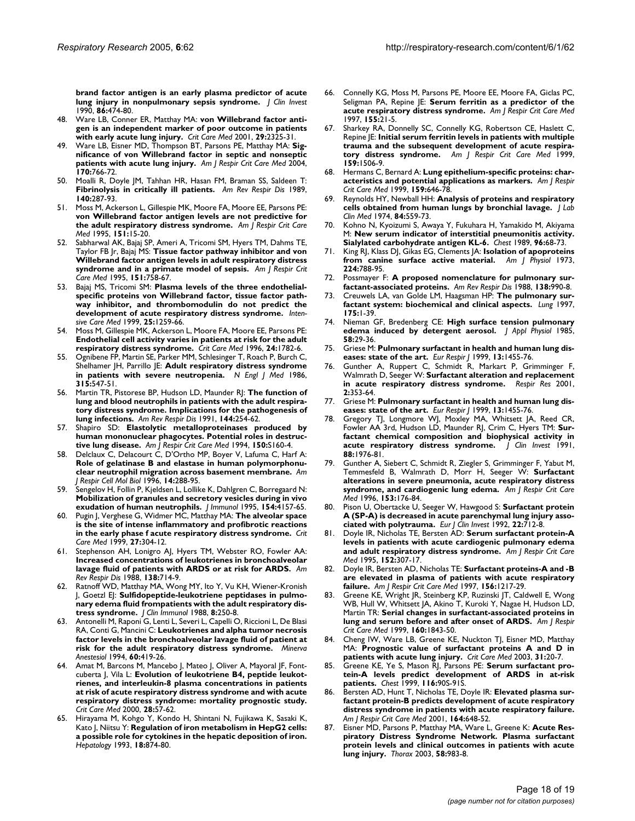**[brand factor antigen is an early plasma predictor of acute](http://www.ncbi.nlm.nih.gov/entrez/query.fcgi?cmd=Retrieve&db=PubMed&dopt=Abstract&list_uids=2384595) [lung injury in nonpulmonary sepsis syndrome.](http://www.ncbi.nlm.nih.gov/entrez/query.fcgi?cmd=Retrieve&db=PubMed&dopt=Abstract&list_uids=2384595)** *J Clin Invest* 1990, **86:**474-80.

- 48. Ware LB, Conner ER, Matthay MA: **[von Willebrand factor anti](http://www.ncbi.nlm.nih.gov/entrez/query.fcgi?cmd=Retrieve&db=PubMed&dopt=Abstract&list_uids=11801836)[gen is an independent marker of poor outcome in patients](http://www.ncbi.nlm.nih.gov/entrez/query.fcgi?cmd=Retrieve&db=PubMed&dopt=Abstract&list_uids=11801836) [with early acute lung injury.](http://www.ncbi.nlm.nih.gov/entrez/query.fcgi?cmd=Retrieve&db=PubMed&dopt=Abstract&list_uids=11801836)** *Crit Care Med* 2001, **29:**2325-31.
- 49. Ware LB, Eisner MD, Thompson BT, Parsons PE, Matthay MA: **[Sig](http://www.ncbi.nlm.nih.gov/entrez/query.fcgi?cmd=Retrieve&db=PubMed&dopt=Abstract&list_uids=15201135)[nificance of von Willebrand factor in septic and nonseptic](http://www.ncbi.nlm.nih.gov/entrez/query.fcgi?cmd=Retrieve&db=PubMed&dopt=Abstract&list_uids=15201135) [patients with acute lung injury.](http://www.ncbi.nlm.nih.gov/entrez/query.fcgi?cmd=Retrieve&db=PubMed&dopt=Abstract&list_uids=15201135)** *Am J Respir Crit Care Med* 2004, **170:**766-72.
- 50. Moalli R, Doyle JM, Tahhan HR, Hasan FM, Braman SS, Saldeen T: **[Fibrinolysis in critically ill patients.](http://www.ncbi.nlm.nih.gov/entrez/query.fcgi?cmd=Retrieve&db=PubMed&dopt=Abstract&list_uids=2504087)** *Am Rev Respir Dis* 1989, **140:**287-93.
- 51. Moss M, Ackerson L, Gillespie MK, Moore FA, Moore EE, Parsons PE: **[von Willebrand factor antigen levels are not predictive for](http://www.ncbi.nlm.nih.gov/entrez/query.fcgi?cmd=Retrieve&db=PubMed&dopt=Abstract&list_uids=7812545) [the adult respiratory distress syndrome.](http://www.ncbi.nlm.nih.gov/entrez/query.fcgi?cmd=Retrieve&db=PubMed&dopt=Abstract&list_uids=7812545)** *Am J Respir Crit Care Med* 1995, **151:**15-20.
- 52. Sabharwal AK, Bajaj SP, Ameri A, Tricomi SM, Hyers TM, Dahms TE, Taylor FB Jr, Bajaj MS: **[Tissue factor pathway inhibitor and von](http://www.ncbi.nlm.nih.gov/entrez/query.fcgi?cmd=Retrieve&db=PubMed&dopt=Abstract&list_uids=7881667) [Willebrand factor antigen levels in adult respiratory distress](http://www.ncbi.nlm.nih.gov/entrez/query.fcgi?cmd=Retrieve&db=PubMed&dopt=Abstract&list_uids=7881667) [syndrome and in a primate model of sepsis.](http://www.ncbi.nlm.nih.gov/entrez/query.fcgi?cmd=Retrieve&db=PubMed&dopt=Abstract&list_uids=7881667)** *Am J Respir Crit Care Med* 1995, **151:**758-67.
- 53. Bajaj MS, Tricomi SM: **[Plasma levels of the three endothelial](http://www.ncbi.nlm.nih.gov/entrez/query.fcgi?cmd=Retrieve&db=PubMed&dopt=Abstract&list_uids=10654210)specific proteins von Willebrand factor, tissue factor path[way inhibitor, and thrombomodulin do not predict the](http://www.ncbi.nlm.nih.gov/entrez/query.fcgi?cmd=Retrieve&db=PubMed&dopt=Abstract&list_uids=10654210) [development of acute respiratory distress syndrome.](http://www.ncbi.nlm.nih.gov/entrez/query.fcgi?cmd=Retrieve&db=PubMed&dopt=Abstract&list_uids=10654210)** *Intensive Care Med* 1999, **25:**1259-66.
- 54. Moss M, Gillespie MK, Ackerson L, Moore FA, Moore EE, Parsons PE: **[Endothelial cell activity varies in patients at risk for the adult](http://www.ncbi.nlm.nih.gov/entrez/query.fcgi?cmd=Retrieve&db=PubMed&dopt=Abstract&list_uids=8917025) [respiratory distress syndrome.](http://www.ncbi.nlm.nih.gov/entrez/query.fcgi?cmd=Retrieve&db=PubMed&dopt=Abstract&list_uids=8917025)** *Crit Care Med* 1996, **24:**1782-6.
- 55. Ognibene FP, Martin SE, Parker MM, Schlesinger T, Roach P, Burch C, Shelhamer JH, Parrillo JE: **[Adult respiratory distress syndrome](http://www.ncbi.nlm.nih.gov/entrez/query.fcgi?cmd=Retrieve&db=PubMed&dopt=Abstract&list_uids=3736638) [in patients with severe neutropenia.](http://www.ncbi.nlm.nih.gov/entrez/query.fcgi?cmd=Retrieve&db=PubMed&dopt=Abstract&list_uids=3736638)** *N Engl J Med* 1986, **315:**547-51.
- 56. Martin TR, Pistorese BP, Hudson LD, Maunder RJ: **[The function of](http://www.ncbi.nlm.nih.gov/entrez/query.fcgi?cmd=Retrieve&db=PubMed&dopt=Abstract&list_uids=1650151) lung and blood neutrophils in patients with the adult respira[tory distress syndrome. Implications for the pathogenesis of](http://www.ncbi.nlm.nih.gov/entrez/query.fcgi?cmd=Retrieve&db=PubMed&dopt=Abstract&list_uids=1650151) [lung infections.](http://www.ncbi.nlm.nih.gov/entrez/query.fcgi?cmd=Retrieve&db=PubMed&dopt=Abstract&list_uids=1650151)** *Am Rev Respir Dis* 1991, **144:**254-62.
- 57. Shapiro SD: **[Elastolytic metalloproteinases produced by](http://www.ncbi.nlm.nih.gov/entrez/query.fcgi?cmd=Retrieve&db=PubMed&dopt=Abstract&list_uids=7952653) [human mononuclear phagocytes. Potential roles in destruc](http://www.ncbi.nlm.nih.gov/entrez/query.fcgi?cmd=Retrieve&db=PubMed&dopt=Abstract&list_uids=7952653)[tive lung disease.](http://www.ncbi.nlm.nih.gov/entrez/query.fcgi?cmd=Retrieve&db=PubMed&dopt=Abstract&list_uids=7952653)** *Am J Respir Crit Care Med* 1994, **150:**S160-4.
- 58. Delclaux C, Delacourt C, D'Ortho MP, Boyer V, Lafuma C, Harf A: **[Role of gelatinase B and elastase in human polymorphonu](http://www.ncbi.nlm.nih.gov/entrez/query.fcgi?cmd=Retrieve&db=PubMed&dopt=Abstract&list_uids=8845180)[clear neutrophil migration across basement membrane.](http://www.ncbi.nlm.nih.gov/entrez/query.fcgi?cmd=Retrieve&db=PubMed&dopt=Abstract&list_uids=8845180)** *Am J Respir Cell Mol Biol* 1996, **14:**288-95.
- Sengelov H, Follin P, Kjeldsen L, Lollike K, Dahlgren C, Borregaard N: **[Mobilization of granules and secretory vesicles during in vivo](http://www.ncbi.nlm.nih.gov/entrez/query.fcgi?cmd=Retrieve&db=PubMed&dopt=Abstract&list_uids=7535822) [exudation of human neutrophils.](http://www.ncbi.nlm.nih.gov/entrez/query.fcgi?cmd=Retrieve&db=PubMed&dopt=Abstract&list_uids=7535822)** *J Immunol* 1995, **154:**4157-65.
- 60. Pugin J, Verghese G, Widmer MC, Matthay MA: **[The alveolar space](http://www.ncbi.nlm.nih.gov/entrez/query.fcgi?cmd=Retrieve&db=PubMed&dopt=Abstract&list_uids=10075054) [is the site of intense inflammatory and profibrotic reactions](http://www.ncbi.nlm.nih.gov/entrez/query.fcgi?cmd=Retrieve&db=PubMed&dopt=Abstract&list_uids=10075054) [in the early phase f acute respiratory distress syndrome.](http://www.ncbi.nlm.nih.gov/entrez/query.fcgi?cmd=Retrieve&db=PubMed&dopt=Abstract&list_uids=10075054)** *Crit Care Med* 1999, **27:**304-12.
- 61. Stephenson AH, Lonigro AJ, Hyers TM, Webster RO, Fowler AA: **[Increased concentrations of leukotrienes in bronchoalveolar](http://www.ncbi.nlm.nih.gov/entrez/query.fcgi?cmd=Retrieve&db=PubMed&dopt=Abstract&list_uids=2849342) [lavage fluid of patients with ARDS or at risk for ARDS.](http://www.ncbi.nlm.nih.gov/entrez/query.fcgi?cmd=Retrieve&db=PubMed&dopt=Abstract&list_uids=2849342)** *Am Rev Respir Dis* 1988, **138:**714-9.
- 62. Ratnoff WD, Matthay MA, Wong MY, Ito Y, Vu KH, Wiener-Kronish J, Goetzl EJ: **[Sulfidopeptide-leukotriene peptidases in pulmo](http://www.ncbi.nlm.nih.gov/entrez/query.fcgi?cmd=Retrieve&db=PubMed&dopt=Abstract&list_uids=2842367)[nary edema fluid frompatients with the adult respiratory dis](http://www.ncbi.nlm.nih.gov/entrez/query.fcgi?cmd=Retrieve&db=PubMed&dopt=Abstract&list_uids=2842367)[tress syndrome.](http://www.ncbi.nlm.nih.gov/entrez/query.fcgi?cmd=Retrieve&db=PubMed&dopt=Abstract&list_uids=2842367)** *J Clin Immunol* 1988, **8:**250-8.
- 63. Antonelli M, Raponi G, Lenti L, Severi L, Capelli O, Riccioni L, De Blasi RA, Conti G, Mancini C: **[Leukotrienes and alpha tumor necrosis](http://www.ncbi.nlm.nih.gov/entrez/query.fcgi?cmd=Retrieve&db=PubMed&dopt=Abstract&list_uids=7808646) [factor levels in the bronchoalveolar lavage fluid of patient at](http://www.ncbi.nlm.nih.gov/entrez/query.fcgi?cmd=Retrieve&db=PubMed&dopt=Abstract&list_uids=7808646) [risk for the adult respiratory distress syndrome.](http://www.ncbi.nlm.nih.gov/entrez/query.fcgi?cmd=Retrieve&db=PubMed&dopt=Abstract&list_uids=7808646)** *Minerva Anestesiol* 1994, **60:**419-26.
- 64. Amat M, Barcons M, Mancebo J, Mateo J, Oliver A, Mayoral JF, Fontcuberta J, Vila L: **[Evolution of leukotriene B4, peptide leukot](http://www.ncbi.nlm.nih.gov/entrez/query.fcgi?cmd=Retrieve&db=PubMed&dopt=Abstract&list_uids=10667499)rienes, and interleukin-8 plasma concentrations in patients [at risk of acute respiratory distress syndrome and with acute](http://www.ncbi.nlm.nih.gov/entrez/query.fcgi?cmd=Retrieve&db=PubMed&dopt=Abstract&list_uids=10667499) respiratory distress syndrome: mortality prognostic study.** *Crit Care Med* 2000, **28:**57-62.
- 65. Hirayama M, Kohgo Y, Kondo H, Shintani N, Fujikawa K, Sasaki K, Kato J, Niitsu Y: **[Regulation of iron metabolism in HepG2 cells:](http://www.ncbi.nlm.nih.gov/entrez/query.fcgi?cmd=Retrieve&db=PubMed&dopt=Abstract&list_uids=8406363) [a possible role for cytokines in the hepatic deposition of iron.](http://www.ncbi.nlm.nih.gov/entrez/query.fcgi?cmd=Retrieve&db=PubMed&dopt=Abstract&list_uids=8406363)** *Hepatology* 1993, **18:**874-80.
- 66. Connelly KG, Moss M, Parsons PE, Moore EE, Moore FA, Giclas PC, Seligman PA, Repine JE: **[Serum ferritin as a predictor of the](http://www.ncbi.nlm.nih.gov/entrez/query.fcgi?cmd=Retrieve&db=PubMed&dopt=Abstract&list_uids=9001283) [acute respiratory distress syndrome.](http://www.ncbi.nlm.nih.gov/entrez/query.fcgi?cmd=Retrieve&db=PubMed&dopt=Abstract&list_uids=9001283)** *Am J Respir Crit Care Med* 1997, **155:**21-5.
- 67. Sharkey RA, Donnelly SC, Connelly KG, Robertson CE, Haslett C, Repine JE: **[Initial serum ferritin levels in patients with multiple](http://www.ncbi.nlm.nih.gov/entrez/query.fcgi?cmd=Retrieve&db=PubMed&dopt=Abstract&list_uids=10228118) [trauma and the subsequent development of acute respira](http://www.ncbi.nlm.nih.gov/entrez/query.fcgi?cmd=Retrieve&db=PubMed&dopt=Abstract&list_uids=10228118)[tory distress syndrome.](http://www.ncbi.nlm.nih.gov/entrez/query.fcgi?cmd=Retrieve&db=PubMed&dopt=Abstract&list_uids=10228118)** *Am J Respir Crit Care Med* 1999, **159:**1506-9.
- 68. Hermans C, Bernard A: **[Lung epithelium-specific proteins: char](http://www.ncbi.nlm.nih.gov/entrez/query.fcgi?cmd=Retrieve&db=PubMed&dopt=Abstract&list_uids=9927386)[acteristics and potential applications as markers.](http://www.ncbi.nlm.nih.gov/entrez/query.fcgi?cmd=Retrieve&db=PubMed&dopt=Abstract&list_uids=9927386)** *Am J Respir Crit Care Med* 1999, **159:**646-78.
- 69. Reynolds HY, Newball HH: **[Analysis of proteins and respiratory](http://www.ncbi.nlm.nih.gov/entrez/query.fcgi?cmd=Retrieve&db=PubMed&dopt=Abstract&list_uids=4412011) [cells obtained from human lungs by bronchial lavage.](http://www.ncbi.nlm.nih.gov/entrez/query.fcgi?cmd=Retrieve&db=PubMed&dopt=Abstract&list_uids=4412011)** *J Lab Clin Med* 1974, **84:**559-73.
- 70. Kohno N, Kyoizumi S, Awaya Y, Fukuhara H, Yamakido M, Akiyama M: **[New serum indicator of interstitial pneumonitis activity.](http://www.ncbi.nlm.nih.gov/entrez/query.fcgi?cmd=Retrieve&db=PubMed&dopt=Abstract&list_uids=2661160) [Sialylated carbohydrate antigen KL-6.](http://www.ncbi.nlm.nih.gov/entrez/query.fcgi?cmd=Retrieve&db=PubMed&dopt=Abstract&list_uids=2661160)** *Chest* 1989, **96:**68-73.
- 71. King RJ, Klass DJ, Gikas EG, Clements JA: **[Isolation of apoproteins](http://www.ncbi.nlm.nih.gov/entrez/query.fcgi?cmd=Retrieve&db=PubMed&dopt=Abstract&list_uids=4633419) [from canine surface active material.](http://www.ncbi.nlm.nih.gov/entrez/query.fcgi?cmd=Retrieve&db=PubMed&dopt=Abstract&list_uids=4633419)** *Am J Physiol* 1973, **224:**788-95.
- 72. Possmayer F: **[A proposed nomenclature for pulmonary sur](http://www.ncbi.nlm.nih.gov/entrez/query.fcgi?cmd=Retrieve&db=PubMed&dopt=Abstract&list_uids=3059887)[factant-associated proteins.](http://www.ncbi.nlm.nih.gov/entrez/query.fcgi?cmd=Retrieve&db=PubMed&dopt=Abstract&list_uids=3059887)** *Am Rev Respir Dis* 1988, **138:**990-8.
- 73. Creuwels LA, van Golde LM, Haagsman HP: **[The pulmonary sur](http://www.ncbi.nlm.nih.gov/entrez/query.fcgi?cmd=Retrieve&db=PubMed&dopt=Abstract&list_uids=8959671)[factant system: biochemical and clinical aspects.](http://www.ncbi.nlm.nih.gov/entrez/query.fcgi?cmd=Retrieve&db=PubMed&dopt=Abstract&list_uids=8959671)** *Lung* 1997, **175:**1-39.
- 74. Nieman GF, Bredenberg CE: **High surface tension pulmonary edema induced by detergent aerosol.** *J Appl Physiol* 1985, **58:**29-36.
- 75. Griese M: **[Pulmonary surfactant in health and human lung dis](http://www.ncbi.nlm.nih.gov/entrez/query.fcgi?cmd=Retrieve&db=PubMed&dopt=Abstract&list_uids=10445627)[eases: state of the art.](http://www.ncbi.nlm.nih.gov/entrez/query.fcgi?cmd=Retrieve&db=PubMed&dopt=Abstract&list_uids=10445627)** *Eur Respir J* 1999, **13:**1455-76.
- 76. Gunther A, Ruppert C, Schmidt R, Markart P, Grimminger F, Walmrath D, Seeger W: **[Surfactant alteration and replacement](http://www.ncbi.nlm.nih.gov/entrez/query.fcgi?cmd=Retrieve&db=PubMed&dopt=Abstract&list_uids=11737935) [in acute respiratory distress syndrome.](http://www.ncbi.nlm.nih.gov/entrez/query.fcgi?cmd=Retrieve&db=PubMed&dopt=Abstract&list_uids=11737935)** *Respir Res* 2001, **2:**353-64.
- 77. Griese M: **[Pulmonary surfactant in health and human lung dis](http://www.ncbi.nlm.nih.gov/entrez/query.fcgi?cmd=Retrieve&db=PubMed&dopt=Abstract&list_uids=10445627)[eases: state of the art.](http://www.ncbi.nlm.nih.gov/entrez/query.fcgi?cmd=Retrieve&db=PubMed&dopt=Abstract&list_uids=10445627)** *Eur Respir J* 1999, **13:**1455-76.
- 78. Gregory TJ, Longmore WJ, Moxley MA, Whitsett JA, Reed CR, Fowler AA 3rd, Hudson LD, Maunder RJ, Crim C, Hyers TM: **[Sur](http://www.ncbi.nlm.nih.gov/entrez/query.fcgi?cmd=Retrieve&db=PubMed&dopt=Abstract&list_uids=1752956)[factant chemical composition and biophysical activity in](http://www.ncbi.nlm.nih.gov/entrez/query.fcgi?cmd=Retrieve&db=PubMed&dopt=Abstract&list_uids=1752956) [acute respiratory distress syndrome.](http://www.ncbi.nlm.nih.gov/entrez/query.fcgi?cmd=Retrieve&db=PubMed&dopt=Abstract&list_uids=1752956)** *J Clin Invest* 1991, **88:**1976-81.
- Gunther A, Siebert C, Schmidt R, Ziegler S, Grimminger F, Yabut M, Temmesfeld B, Walmrath D, Morr H, Seeger W: **[Surfactant](http://www.ncbi.nlm.nih.gov/entrez/query.fcgi?cmd=Retrieve&db=PubMed&dopt=Abstract&list_uids=8542113) [alterations in severe pneumonia, acute respiratory distress](http://www.ncbi.nlm.nih.gov/entrez/query.fcgi?cmd=Retrieve&db=PubMed&dopt=Abstract&list_uids=8542113) [syndrome, and cardiogenic lung edema.](http://www.ncbi.nlm.nih.gov/entrez/query.fcgi?cmd=Retrieve&db=PubMed&dopt=Abstract&list_uids=8542113)** *Am J Respir Crit Care Med* 1996, **153:**176-84.
- 80. Pison U, Obertacke U, Seeger W, Hawgood S: **[Surfactant protein](http://www.ncbi.nlm.nih.gov/entrez/query.fcgi?cmd=Retrieve&db=PubMed&dopt=Abstract&list_uids=1478239) [A \(SP-A\) is decreased in acute parenchymal lung injury asso](http://www.ncbi.nlm.nih.gov/entrez/query.fcgi?cmd=Retrieve&db=PubMed&dopt=Abstract&list_uids=1478239)[ciated with polytrauma.](http://www.ncbi.nlm.nih.gov/entrez/query.fcgi?cmd=Retrieve&db=PubMed&dopt=Abstract&list_uids=1478239)** *Eur J Clin Invest* 1992, **22:**712-8.
- 81. Doyle IR, Nicholas TE, Bersten AD: **[Serum surfactant protein-A](http://www.ncbi.nlm.nih.gov/entrez/query.fcgi?cmd=Retrieve&db=PubMed&dopt=Abstract&list_uids=7599839) [levels in patients with acute cardiogenic pulmonary edema](http://www.ncbi.nlm.nih.gov/entrez/query.fcgi?cmd=Retrieve&db=PubMed&dopt=Abstract&list_uids=7599839) [and adult respiratory distress syndrome.](http://www.ncbi.nlm.nih.gov/entrez/query.fcgi?cmd=Retrieve&db=PubMed&dopt=Abstract&list_uids=7599839)** *Am J Respir Crit Care Med* 1995, **152:**307-17.
- 82. Doyle IR, Bersten AD, Nicholas TE: **[Surfactant proteins-A and -B](http://www.ncbi.nlm.nih.gov/entrez/query.fcgi?cmd=Retrieve&db=PubMed&dopt=Abstract&list_uids=9351625) [are elevated in plasma of patients with acute respiratory](http://www.ncbi.nlm.nih.gov/entrez/query.fcgi?cmd=Retrieve&db=PubMed&dopt=Abstract&list_uids=9351625) [failure.](http://www.ncbi.nlm.nih.gov/entrez/query.fcgi?cmd=Retrieve&db=PubMed&dopt=Abstract&list_uids=9351625)** *Am J Respir Crit Care Med* 1997, **156:**1217-29.
- 83. Greene KE, Wright JR, Steinberg KP, Ruzinski JT, Caldwell E, Wong WB, Hull W, Whitsett JA, Akino T, Kuroki Y, Nagae H, Hudson LD, Martin TR: **[Serial changes in surfactant-associated proteins in](http://www.ncbi.nlm.nih.gov/entrez/query.fcgi?cmd=Retrieve&db=PubMed&dopt=Abstract&list_uids=10588595) [lung and serum before and after onset of ARDS.](http://www.ncbi.nlm.nih.gov/entrez/query.fcgi?cmd=Retrieve&db=PubMed&dopt=Abstract&list_uids=10588595)** *Am J Respir Crit Care Med* 1999, **160:**1843-50.
- Cheng IW, Ware LB, Greene KE, Nuckton TJ, Eisner MD, Matthay MA: **[Prognostic value of surfactant proteins A and D in](http://www.ncbi.nlm.nih.gov/entrez/query.fcgi?cmd=Retrieve&db=PubMed&dopt=Abstract&list_uids=12544988) [patients with acute lung injury.](http://www.ncbi.nlm.nih.gov/entrez/query.fcgi?cmd=Retrieve&db=PubMed&dopt=Abstract&list_uids=12544988)** *Crit Care Med* 2003, **31:**20-7.
- 85. Greene KE, Ye S, Mason RJ, Parsons PE: **[Serum surfactant pro](http://www.ncbi.nlm.nih.gov/entrez/query.fcgi?cmd=Retrieve&db=PubMed&dopt=Abstract&list_uids=10424610)[tein-A levels predict development of ARDS in at-risk](http://www.ncbi.nlm.nih.gov/entrez/query.fcgi?cmd=Retrieve&db=PubMed&dopt=Abstract&list_uids=10424610) [patients.](http://www.ncbi.nlm.nih.gov/entrez/query.fcgi?cmd=Retrieve&db=PubMed&dopt=Abstract&list_uids=10424610)** *Chest* 1999, **116:**90S-91S.
- Bersten AD, Hunt T, Nicholas TE, Doyle IR: [Elevated plasma sur](http://www.ncbi.nlm.nih.gov/entrez/query.fcgi?cmd=Retrieve&db=PubMed&dopt=Abstract&list_uids=11520731)**factant protein-B predicts development of acute respiratory [distress syndrome in patients with acute respiratory failure.](http://www.ncbi.nlm.nih.gov/entrez/query.fcgi?cmd=Retrieve&db=PubMed&dopt=Abstract&list_uids=11520731)** *Am J Respir Crit Care Med* 2001, **164:**648-52.
- Eisner MD, Parsons P, Matthay MA, Ware L, Greene K: [Acute Res](http://www.ncbi.nlm.nih.gov/entrez/query.fcgi?cmd=Retrieve&db=PubMed&dopt=Abstract&list_uids=14586055)**piratory Distress Syndrome Network. Plasma surfactant [protein levels and clinical outcomes in patients with acute](http://www.ncbi.nlm.nih.gov/entrez/query.fcgi?cmd=Retrieve&db=PubMed&dopt=Abstract&list_uids=14586055) [lung injury.](http://www.ncbi.nlm.nih.gov/entrez/query.fcgi?cmd=Retrieve&db=PubMed&dopt=Abstract&list_uids=14586055)** *Thorax* 2003, **58:**983-8.